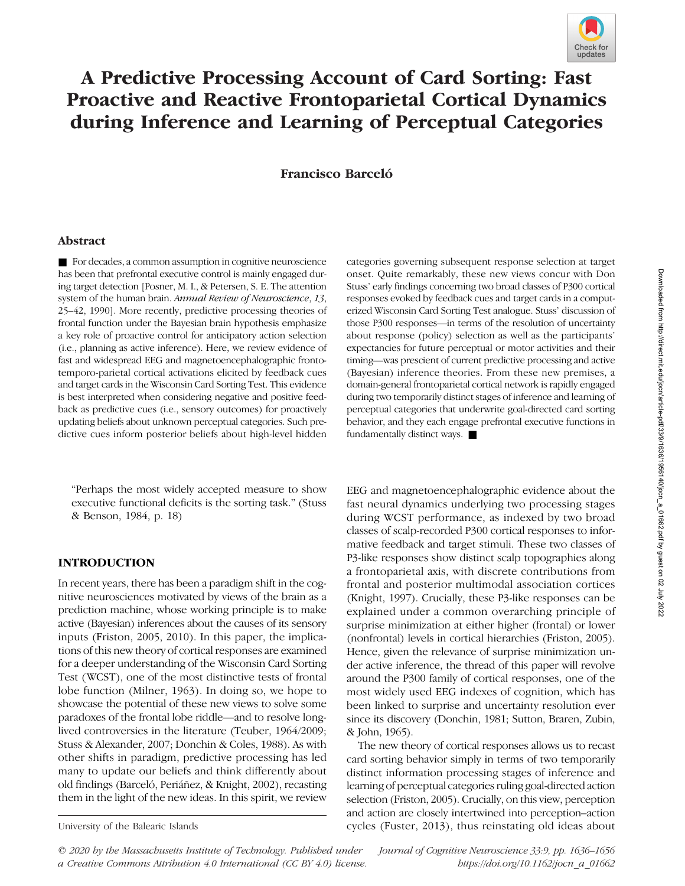

# A Predictive Processing Account of Card Sorting: Fast Proactive and Reactive Frontoparietal Cortical Dynamics during Inference and Learning of Perceptual Categories

Francisco Barceló

#### Abstract

■ For decades, a common assumption in cognitive neuroscience has been that prefrontal executive control is mainly engaged during target detection [Posner, M. I., & Petersen, S. E. The attention system of the human brain. Annual Review of Neuroscience, 13, 25–42, 1990]. More recently, predictive processing theories of frontal function under the Bayesian brain hypothesis emphasize a key role of proactive control for anticipatory action selection (i.e., planning as active inference). Here, we review evidence of fast and widespread EEG and magnetoencephalographic frontotemporo-parietal cortical activations elicited by feedback cues and target cards in the Wisconsin Card Sorting Test. This evidence is best interpreted when considering negative and positive feedback as predictive cues (i.e., sensory outcomes) for proactively updating beliefs about unknown perceptual categories. Such predictive cues inform posterior beliefs about high-level hidden

"Perhaps the most widely accepted measure to show executive functional deficits is the sorting task." (Stuss & Benson, 1984, p. 18)

## INTRODUCTION

In recent years, there has been a paradigm shift in the cognitive neurosciences motivated by views of the brain as a prediction machine, whose working principle is to make active (Bayesian) inferences about the causes of its sensory inputs (Friston, 2005, 2010). In this paper, the implications of this new theory of cortical responses are examined for a deeper understanding of the Wisconsin Card Sorting Test (WCST), one of the most distinctive tests of frontal lobe function (Milner, 1963). In doing so, we hope to showcase the potential of these new views to solve some paradoxes of the frontal lobe riddle—and to resolve longlived controversies in the literature (Teuber, 1964/2009; Stuss & Alexander, 2007; Donchin & Coles, 1988). As with other shifts in paradigm, predictive processing has led many to update our beliefs and think differently about old findings (Barceló, Periáñez, & Knight, 2002), recasting them in the light of the new ideas. In this spirit, we review

categories governing subsequent response selection at target onset. Quite remarkably, these new views concur with Don Stuss' early findings concerning two broad classes of P300 cortical responses evoked by feedback cues and target cards in a computerized Wisconsin Card Sorting Test analogue. Stuss' discussion of those P300 responses—in terms of the resolution of uncertainty about response (policy) selection as well as the participants' expectancies for future perceptual or motor activities and their timing—was prescient of current predictive processing and active (Bayesian) inference theories. From these new premises, a domain-general frontoparietal cortical network is rapidly engaged during two temporarily distinct stages of inference and learning of perceptual categories that underwrite goal-directed card sorting behavior, and they each engage prefrontal executive functions in fundamentally distinct ways. ■

EEG and magnetoencephalographic evidence about the fast neural dynamics underlying two processing stages during WCST performance, as indexed by two broad classes of scalp-recorded P300 cortical responses to informative feedback and target stimuli. These two classes of P3-like responses show distinct scalp topographies along a frontoparietal axis, with discrete contributions from frontal and posterior multimodal association cortices (Knight, 1997). Crucially, these P3-like responses can be explained under a common overarching principle of surprise minimization at either higher (frontal) or lower (nonfrontal) levels in cortical hierarchies (Friston, 2005). Hence, given the relevance of surprise minimization under active inference, the thread of this paper will revolve around the P300 family of cortical responses, one of the most widely used EEG indexes of cognition, which has been linked to surprise and uncertainty resolution ever since its discovery (Donchin, 1981; Sutton, Braren, Zubin, & John, 1965).

The new theory of cortical responses allows us to recast card sorting behavior simply in terms of two temporarily distinct information processing stages of inference and learning of perceptual categories ruling goal-directed action selection (Friston, 2005). Crucially, on this view, perception and action are closely intertwined into perception–action University of the Balearic Islands cycles (Fuster, 2013), thus reinstating old ideas about

© 2020 by the Massachusetts Institute of Technology. Published under a Creative Commons Attribution 4.0 International (CC BY 4.0) license. Journal of Cognitive Neuroscience 33:9, pp. 1636–1656 https://doi.org/10.1162/jocn\_a\_01662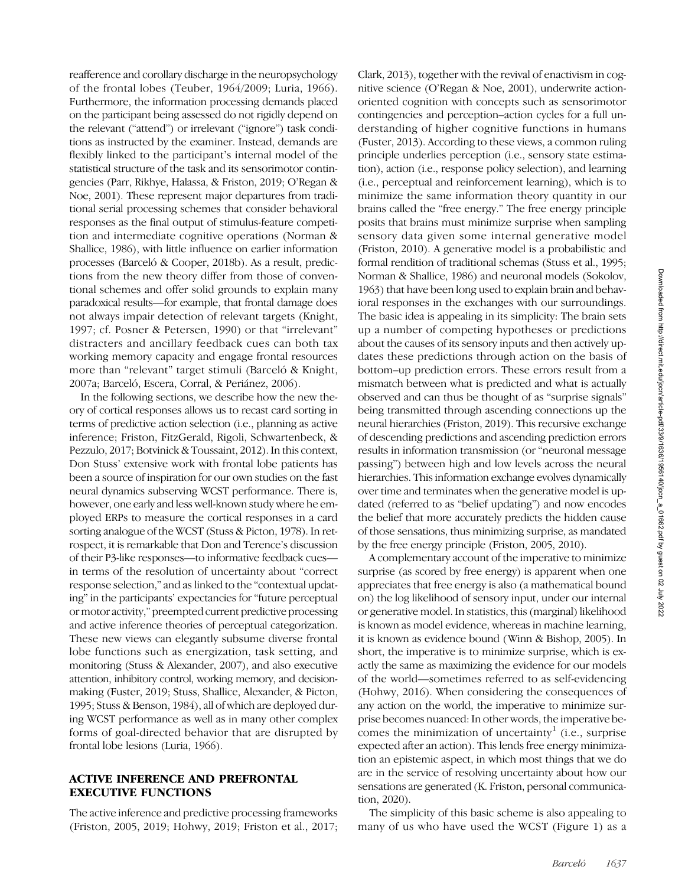reafference and corollary discharge in the neuropsychology of the frontal lobes (Teuber, 1964/2009; Luria, 1966). Furthermore, the information processing demands placed on the participant being assessed do not rigidly depend on the relevant ("attend") or irrelevant ("ignore") task conditions as instructed by the examiner. Instead, demands are flexibly linked to the participant's internal model of the statistical structure of the task and its sensorimotor contingencies (Parr, Rikhye, Halassa, & Friston, 2019; O'Regan & Noe, 2001). These represent major departures from traditional serial processing schemes that consider behavioral responses as the final output of stimulus-feature competition and intermediate cognitive operations (Norman & Shallice, 1986), with little influence on earlier information processes (Barceló & Cooper, 2018b). As a result, predictions from the new theory differ from those of conventional schemes and offer solid grounds to explain many paradoxical results—for example, that frontal damage does not always impair detection of relevant targets (Knight, 1997; cf. Posner & Petersen, 1990) or that "irrelevant" distracters and ancillary feedback cues can both tax working memory capacity and engage frontal resources more than "relevant" target stimuli (Barceló & Knight, 2007a; Barceló, Escera, Corral, & Periánez, 2006).

In the following sections, we describe how the new theory of cortical responses allows us to recast card sorting in terms of predictive action selection (i.e., planning as active inference; Friston, FitzGerald, Rigoli, Schwartenbeck, & Pezzulo, 2017; Botvinick & Toussaint, 2012). In this context, Don Stuss' extensive work with frontal lobe patients has been a source of inspiration for our own studies on the fast neural dynamics subserving WCST performance. There is, however, one early and less well-known study where he employed ERPs to measure the cortical responses in a card sorting analogue of the WCST (Stuss & Picton, 1978). In retrospect, it is remarkable that Don and Terence's discussion of their P3-like responses—to informative feedback cues in terms of the resolution of uncertainty about "correct response selection," and as linked to the "contextual updating" in the participants' expectancies for "future perceptual or motor activity," preempted current predictive processing and active inference theories of perceptual categorization. These new views can elegantly subsume diverse frontal lobe functions such as energization, task setting, and monitoring (Stuss & Alexander, 2007), and also executive attention, inhibitory control, working memory, and decisionmaking (Fuster, 2019; Stuss, Shallice, Alexander, & Picton, 1995; Stuss & Benson, 1984), all of which are deployed during WCST performance as well as in many other complex forms of goal-directed behavior that are disrupted by frontal lobe lesions (Luria, 1966).

## ACTIVE INFERENCE AND PREFRONTAL EXECUTIVE FUNCTIONS

The active inference and predictive processing frameworks (Friston, 2005, 2019; Hohwy, 2019; Friston et al., 2017;

Clark, 2013), together with the revival of enactivism in cognitive science (O'Regan & Noe, 2001), underwrite actionoriented cognition with concepts such as sensorimotor contingencies and perception–action cycles for a full understanding of higher cognitive functions in humans (Fuster, 2013). According to these views, a common ruling principle underlies perception (i.e., sensory state estimation), action (i.e., response policy selection), and learning (i.e., perceptual and reinforcement learning), which is to minimize the same information theory quantity in our brains called the "free energy." The free energy principle posits that brains must minimize surprise when sampling sensory data given some internal generative model (Friston, 2010). A generative model is a probabilistic and formal rendition of traditional schemas (Stuss et al., 1995; Norman & Shallice, 1986) and neuronal models (Sokolov, 1963) that have been long used to explain brain and behavioral responses in the exchanges with our surroundings. The basic idea is appealing in its simplicity: The brain sets up a number of competing hypotheses or predictions about the causes of its sensory inputs and then actively updates these predictions through action on the basis of bottom–up prediction errors. These errors result from a mismatch between what is predicted and what is actually observed and can thus be thought of as "surprise signals" being transmitted through ascending connections up the neural hierarchies (Friston, 2019). This recursive exchange of descending predictions and ascending prediction errors results in information transmission (or "neuronal message passing") between high and low levels across the neural hierarchies. This information exchange evolves dynamically over time and terminates when the generative model is updated (referred to as "belief updating") and now encodes the belief that more accurately predicts the hidden cause of those sensations, thus minimizing surprise, as mandated by the free energy principle (Friston, 2005, 2010).

A complementary account of the imperative to minimize surprise (as scored by free energy) is apparent when one appreciates that free energy is also (a mathematical bound on) the log likelihood of sensory input, under our internal or generative model. In statistics, this (marginal) likelihood is known as model evidence, whereas in machine learning, it is known as evidence bound (Winn & Bishop, 2005). In short, the imperative is to minimize surprise, which is exactly the same as maximizing the evidence for our models of the world—sometimes referred to as self-evidencing (Hohwy, 2016). When considering the consequences of any action on the world, the imperative to minimize surprise becomes nuanced: In other words, the imperative becomes the minimization of uncertainty<sup>1</sup> (i.e., surprise expected after an action). This lends free energy minimization an epistemic aspect, in which most things that we do are in the service of resolving uncertainty about how our sensations are generated (K. Friston, personal communication, 2020).

The simplicity of this basic scheme is also appealing to many of us who have used the WCST (Figure 1) as a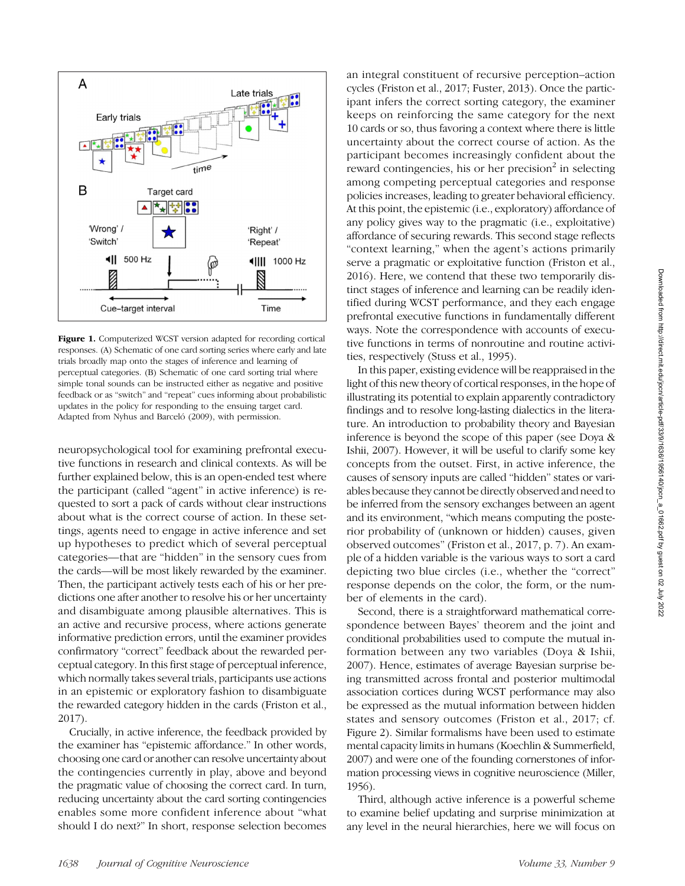

Figure 1. Computerized WCST version adapted for recording cortical responses. (A) Schematic of one card sorting series where early and late trials broadly map onto the stages of inference and learning of perceptual categories. (B) Schematic of one card sorting trial where simple tonal sounds can be instructed either as negative and positive feedback or as "switch" and "repeat" cues informing about probabilistic updates in the policy for responding to the ensuing target card. Adapted from Nyhus and Barceló (2009), with permission.

neuropsychological tool for examining prefrontal executive functions in research and clinical contexts. As will be further explained below, this is an open-ended test where the participant (called "agent" in active inference) is requested to sort a pack of cards without clear instructions about what is the correct course of action. In these settings, agents need to engage in active inference and set up hypotheses to predict which of several perceptual categories—that are "hidden" in the sensory cues from the cards—will be most likely rewarded by the examiner. Then, the participant actively tests each of his or her predictions one after another to resolve his or her uncertainty and disambiguate among plausible alternatives. This is an active and recursive process, where actions generate informative prediction errors, until the examiner provides confirmatory "correct" feedback about the rewarded perceptual category. In this first stage of perceptual inference, which normally takes several trials, participants use actions in an epistemic or exploratory fashion to disambiguate the rewarded category hidden in the cards (Friston et al., 2017).

Crucially, in active inference, the feedback provided by the examiner has "epistemic affordance." In other words, choosing one card or another can resolve uncertainty about the contingencies currently in play, above and beyond the pragmatic value of choosing the correct card. In turn, reducing uncertainty about the card sorting contingencies enables some more confident inference about "what should I do next?" In short, response selection becomes

an integral constituent of recursive perception–action cycles (Friston et al., 2017; Fuster, 2013). Once the participant infers the correct sorting category, the examiner keeps on reinforcing the same category for the next 10 cards or so, thus favoring a context where there is little uncertainty about the correct course of action. As the participant becomes increasingly confident about the reward contingencies, his or her precision $2$  in selecting among competing perceptual categories and response policies increases, leading to greater behavioral efficiency. At this point, the epistemic (i.e., exploratory) affordance of any policy gives way to the pragmatic (i.e., exploitative) affordance of securing rewards. This second stage reflects "context learning," when the agent's actions primarily serve a pragmatic or exploitative function (Friston et al., 2016). Here, we contend that these two temporarily distinct stages of inference and learning can be readily identified during WCST performance, and they each engage prefrontal executive functions in fundamentally different ways. Note the correspondence with accounts of executive functions in terms of nonroutine and routine activities, respectively (Stuss et al., 1995).

In this paper, existing evidence will be reappraised in the light of this new theory of cortical responses, in the hope of illustrating its potential to explain apparently contradictory findings and to resolve long-lasting dialectics in the literature. An introduction to probability theory and Bayesian inference is beyond the scope of this paper (see Doya & Ishii, 2007). However, it will be useful to clarify some key concepts from the outset. First, in active inference, the causes of sensory inputs are called "hidden" states or variables because they cannot be directly observed and need to be inferred from the sensory exchanges between an agent and its environment, "which means computing the posterior probability of (unknown or hidden) causes, given observed outcomes" (Friston et al., 2017, p. 7). An example of a hidden variable is the various ways to sort a card depicting two blue circles (i.e., whether the "correct" response depends on the color, the form, or the number of elements in the card).

Second, there is a straightforward mathematical correspondence between Bayes' theorem and the joint and conditional probabilities used to compute the mutual information between any two variables (Doya & Ishii, 2007). Hence, estimates of average Bayesian surprise being transmitted across frontal and posterior multimodal association cortices during WCST performance may also be expressed as the mutual information between hidden states and sensory outcomes (Friston et al., 2017; cf. Figure 2). Similar formalisms have been used to estimate mental capacity limits in humans (Koechlin & Summerfield, 2007) and were one of the founding cornerstones of information processing views in cognitive neuroscience (Miller, 1956).

Third, although active inference is a powerful scheme to examine belief updating and surprise minimization at any level in the neural hierarchies, here we will focus on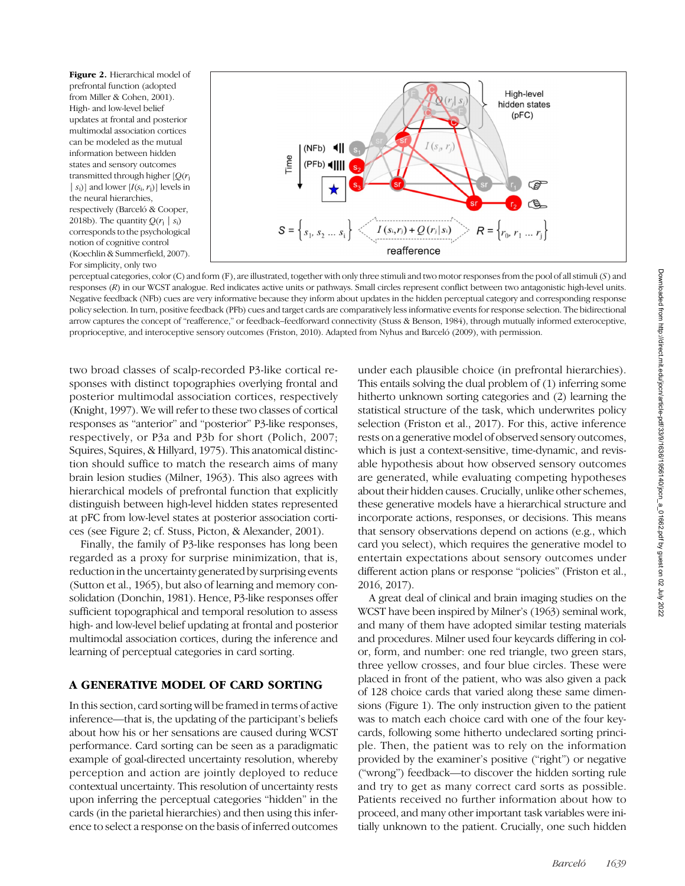Figure 2. Hierarchical model of prefrontal function (adopted from Miller & Cohen, 2001). High- and low-level belief updates at frontal and posterior multimodal association cortices can be modeled as the mutual information between hidden states and sensory outcomes transmitted through higher  $[Q(r<sub>i</sub>$  $|s_i\rangle$ ] and lower  $[I(s_i, r_j)]$  levels in the neural hierarchies, respectively (Barceló & Cooper, 2018b). The quantity  $Q(r_i | s_i)$ corresponds to the psychological notion of cognitive control (Koechlin & Summerfield, 2007). For simplicity, only two



perceptual categories, color (C) and form (F), are illustrated, together with only three stimuli and two motor responses from the pool of all stimuli (S ) and responses (R) in our WCST analogue. Red indicates active units or pathways. Small circles represent conflict between two antagonistic high-level units. Negative feedback (NFb) cues are very informative because they inform about updates in the hidden perceptual category and corresponding response policy selection. In turn, positive feedback (PFb) cues and target cards are comparatively less informative events for response selection. The bidirectional arrow captures the concept of "reafference," or feedback–feedforward connectivity (Stuss & Benson, 1984), through mutually informed exteroceptive, proprioceptive, and interoceptive sensory outcomes (Friston, 2010). Adapted from Nyhus and Barceló (2009), with permission.

two broad classes of scalp-recorded P3-like cortical responses with distinct topographies overlying frontal and posterior multimodal association cortices, respectively (Knight, 1997). We will refer to these two classes of cortical responses as "anterior" and "posterior" P3-like responses, respectively, or P3a and P3b for short (Polich, 2007; Squires, Squires, & Hillyard, 1975). This anatomical distinction should suffice to match the research aims of many brain lesion studies (Milner, 1963). This also agrees with hierarchical models of prefrontal function that explicitly distinguish between high-level hidden states represented at pFC from low-level states at posterior association cortices (see Figure 2; cf. Stuss, Picton, & Alexander, 2001).

Finally, the family of P3-like responses has long been regarded as a proxy for surprise minimization, that is, reduction in the uncertainty generated by surprising events (Sutton et al., 1965), but also of learning and memory consolidation (Donchin, 1981). Hence, P3-like responses offer sufficient topographical and temporal resolution to assess high- and low-level belief updating at frontal and posterior multimodal association cortices, during the inference and learning of perceptual categories in card sorting.

# A GENERATIVE MODEL OF CARD SORTING

In this section, card sorting will be framed in terms of active inference—that is, the updating of the participant's beliefs about how his or her sensations are caused during WCST performance. Card sorting can be seen as a paradigmatic example of goal-directed uncertainty resolution, whereby perception and action are jointly deployed to reduce contextual uncertainty. This resolution of uncertainty rests upon inferring the perceptual categories "hidden" in the cards (in the parietal hierarchies) and then using this inference to select a response on the basis of inferred outcomes

under each plausible choice (in prefrontal hierarchies). This entails solving the dual problem of (1) inferring some hitherto unknown sorting categories and (2) learning the statistical structure of the task, which underwrites policy selection (Friston et al., 2017). For this, active inference rests on a generative model of observed sensory outcomes, which is just a context-sensitive, time-dynamic, and revisable hypothesis about how observed sensory outcomes are generated, while evaluating competing hypotheses about their hidden causes. Crucially, unlike other schemes, these generative models have a hierarchical structure and incorporate actions, responses, or decisions. This means that sensory observations depend on actions (e.g., which card you select), which requires the generative model to entertain expectations about sensory outcomes under different action plans or response "policies" (Friston et al., 2016, 2017).

A great deal of clinical and brain imaging studies on the WCST have been inspired by Milner's (1963) seminal work, and many of them have adopted similar testing materials and procedures. Milner used four keycards differing in color, form, and number: one red triangle, two green stars, three yellow crosses, and four blue circles. These were placed in front of the patient, who was also given a pack of 128 choice cards that varied along these same dimensions (Figure 1). The only instruction given to the patient was to match each choice card with one of the four keycards, following some hitherto undeclared sorting principle. Then, the patient was to rely on the information provided by the examiner's positive ("right") or negative ("wrong") feedback—to discover the hidden sorting rule and try to get as many correct card sorts as possible. Patients received no further information about how to proceed, and many other important task variables were initially unknown to the patient. Crucially, one such hidden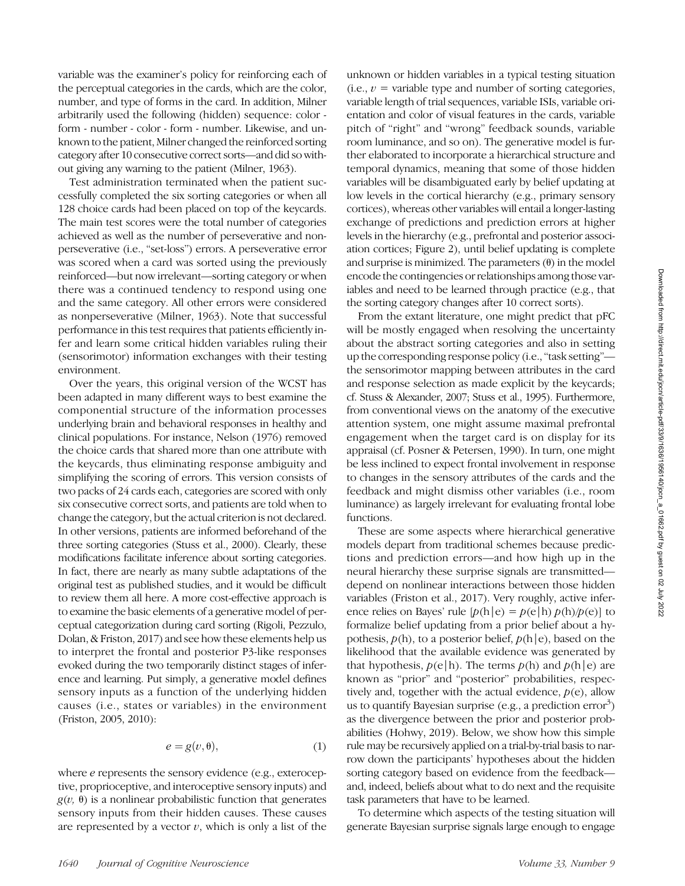variable was the examiner's policy for reinforcing each of the perceptual categories in the cards, which are the color, number, and type of forms in the card. In addition, Milner arbitrarily used the following (hidden) sequence: color form - number - color - form - number. Likewise, and unknown to the patient, Milner changed the reinforced sorting category after 10 consecutive correct sorts—and did so without giving any warning to the patient (Milner, 1963).

Test administration terminated when the patient successfully completed the six sorting categories or when all 128 choice cards had been placed on top of the keycards. The main test scores were the total number of categories achieved as well as the number of perseverative and nonperseverative (i.e., "set-loss") errors. A perseverative error was scored when a card was sorted using the previously reinforced—but now irrelevant—sorting category or when there was a continued tendency to respond using one and the same category. All other errors were considered as nonperseverative (Milner, 1963). Note that successful performance in this test requires that patients efficiently infer and learn some critical hidden variables ruling their (sensorimotor) information exchanges with their testing environment.

Over the years, this original version of the WCST has been adapted in many different ways to best examine the componential structure of the information processes underlying brain and behavioral responses in healthy and clinical populations. For instance, Nelson (1976) removed the choice cards that shared more than one attribute with the keycards, thus eliminating response ambiguity and simplifying the scoring of errors. This version consists of two packs of 24 cards each, categories are scored with only six consecutive correct sorts, and patients are told when to change the category, but the actual criterion is not declared. In other versions, patients are informed beforehand of the three sorting categories (Stuss et al., 2000). Clearly, these modifications facilitate inference about sorting categories. In fact, there are nearly as many subtle adaptations of the original test as published studies, and it would be difficult to review them all here. A more cost-effective approach is to examine the basic elements of a generative model of perceptual categorization during card sorting (Rigoli, Pezzulo, Dolan, & Friston, 2017) and see how these elements help us to interpret the frontal and posterior P3-like responses evoked during the two temporarily distinct stages of inference and learning. Put simply, a generative model defines sensory inputs as a function of the underlying hidden causes (i.e., states or variables) in the environment (Friston, 2005, 2010):

$$
e = g(v, \theta), \tag{1}
$$

where e represents the sensory evidence (e.g., exteroceptive, proprioceptive, and interoceptive sensory inputs) and  $g(v, \theta)$  is a nonlinear probabilistic function that generates sensory inputs from their hidden causes. These causes are represented by a vector  $v$ , which is only a list of the

unknown or hidden variables in a typical testing situation (i.e.,  $v =$  variable type and number of sorting categories, variable length of trial sequences, variable ISIs, variable orientation and color of visual features in the cards, variable pitch of "right" and "wrong" feedback sounds, variable room luminance, and so on). The generative model is further elaborated to incorporate a hierarchical structure and temporal dynamics, meaning that some of those hidden variables will be disambiguated early by belief updating at low levels in the cortical hierarchy (e.g., primary sensory cortices), whereas other variables will entail a longer-lasting exchange of predictions and prediction errors at higher levels in the hierarchy (e.g., prefrontal and posterior association cortices; Figure 2), until belief updating is complete and surprise is minimized. The parameters  $(\theta)$  in the model encode the contingencies or relationships among those variables and need to be learned through practice (e.g., that the sorting category changes after 10 correct sorts).

From the extant literature, one might predict that pFC will be mostly engaged when resolving the uncertainty about the abstract sorting categories and also in setting up the corresponding response policy (i.e.,"task setting" the sensorimotor mapping between attributes in the card and response selection as made explicit by the keycards; cf. Stuss & Alexander, 2007; Stuss et al., 1995). Furthermore, from conventional views on the anatomy of the executive attention system, one might assume maximal prefrontal engagement when the target card is on display for its appraisal (cf. Posner & Petersen, 1990). In turn, one might be less inclined to expect frontal involvement in response to changes in the sensory attributes of the cards and the feedback and might dismiss other variables (i.e., room luminance) as largely irrelevant for evaluating frontal lobe functions.

These are some aspects where hierarchical generative models depart from traditional schemes because predictions and prediction errors—and how high up in the neural hierarchy these surprise signals are transmitted depend on nonlinear interactions between those hidden variables (Friston et al., 2017). Very roughly, active inference relies on Bayes' rule  $[p(h|e) = p(e|h) p(h)/p(e)]$  to formalize belief updating from a prior belief about a hypothesis,  $p(h)$ , to a posterior belief,  $p(h|e)$ , based on the likelihood that the available evidence was generated by that hypothesis,  $p(e|h)$ . The terms  $p(h)$  and  $p(h|e)$  are known as "prior" and "posterior" probabilities, respectively and, together with the actual evidence,  $p(e)$ , allow us to quantify Bayesian surprise (e.g., a prediction error<sup>3</sup>) as the divergence between the prior and posterior probabilities (Hohwy, 2019). Below, we show how this simple rule may be recursively applied on a trial-by-trial basis to narrow down the participants' hypotheses about the hidden sorting category based on evidence from the feedback and, indeed, beliefs about what to do next and the requisite task parameters that have to be learned.

To determine which aspects of the testing situation will generate Bayesian surprise signals large enough to engage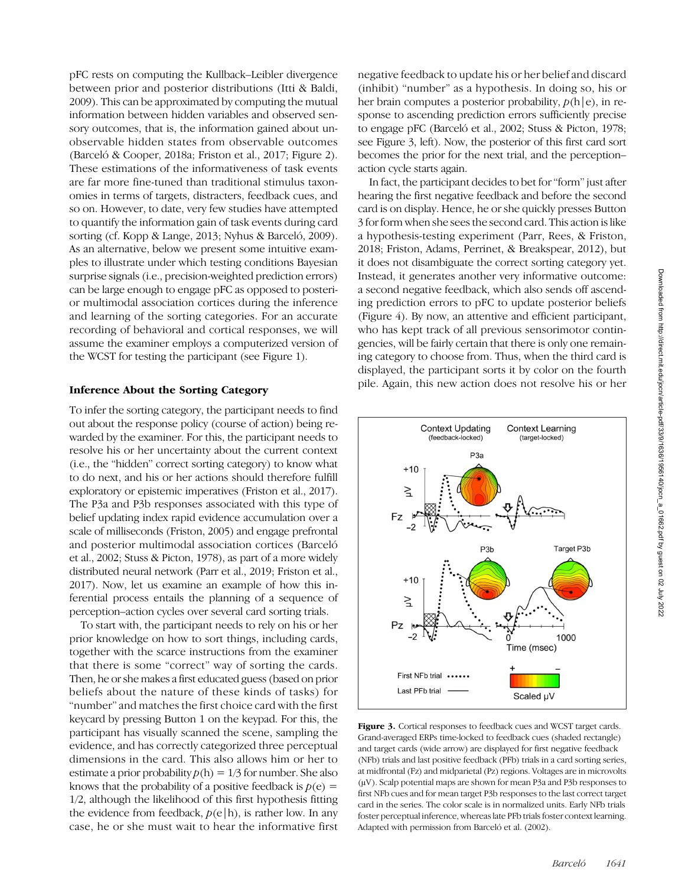pFC rests on computing the Kullback–Leibler divergence between prior and posterior distributions (Itti & Baldi, 2009). This can be approximated by computing the mutual information between hidden variables and observed sensory outcomes, that is, the information gained about unobservable hidden states from observable outcomes (Barceló & Cooper, 2018a; Friston et al., 2017; Figure 2). These estimations of the informativeness of task events are far more fine-tuned than traditional stimulus taxonomies in terms of targets, distracters, feedback cues, and so on. However, to date, very few studies have attempted to quantify the information gain of task events during card sorting (cf. Kopp & Lange, 2013; Nyhus & Barceló, 2009). As an alternative, below we present some intuitive examples to illustrate under which testing conditions Bayesian surprise signals (i.e., precision-weighted prediction errors) can be large enough to engage pFC as opposed to posterior multimodal association cortices during the inference and learning of the sorting categories. For an accurate recording of behavioral and cortical responses, we will assume the examiner employs a computerized version of the WCST for testing the participant (see Figure 1).

#### Inference About the Sorting Category

To infer the sorting category, the participant needs to find out about the response policy (course of action) being rewarded by the examiner. For this, the participant needs to resolve his or her uncertainty about the current context (i.e., the "hidden" correct sorting category) to know what to do next, and his or her actions should therefore fulfill exploratory or epistemic imperatives (Friston et al., 2017). The P3a and P3b responses associated with this type of belief updating index rapid evidence accumulation over a scale of milliseconds (Friston, 2005) and engage prefrontal and posterior multimodal association cortices (Barceló et al., 2002; Stuss & Picton, 1978), as part of a more widely distributed neural network (Parr et al., 2019; Friston et al., 2017). Now, let us examine an example of how this inferential process entails the planning of a sequence of perception–action cycles over several card sorting trials.

To start with, the participant needs to rely on his or her prior knowledge on how to sort things, including cards, together with the scarce instructions from the examiner that there is some "correct" way of sorting the cards. Then, he or she makes a first educated guess (based on prior beliefs about the nature of these kinds of tasks) for "number" and matches the first choice card with the first keycard by pressing Button 1 on the keypad. For this, the participant has visually scanned the scene, sampling the evidence, and has correctly categorized three perceptual dimensions in the card. This also allows him or her to estimate a prior probability  $p(h) = 1/3$  for number. She also knows that the probability of a positive feedback is  $p(e)$  = 1/2, although the likelihood of this first hypothesis fitting the evidence from feedback,  $p(e|h)$ , is rather low. In any case, he or she must wait to hear the informative first

negative feedback to update his or her belief and discard (inhibit) "number" as a hypothesis. In doing so, his or her brain computes a posterior probability,  $p(h|e)$ , in response to ascending prediction errors sufficiently precise to engage pFC (Barceló et al., 2002; Stuss & Picton, 1978; see Figure 3, left). Now, the posterior of this first card sort becomes the prior for the next trial, and the perception– action cycle starts again.

In fact, the participant decides to bet for"form" just after hearing the first negative feedback and before the second card is on display. Hence, he or she quickly presses Button 3 for form when she sees the second card. This action is like a hypothesis-testing experiment (Parr, Rees, & Friston, 2018; Friston, Adams, Perrinet, & Breakspear, 2012), but it does not disambiguate the correct sorting category yet. Instead, it generates another very informative outcome: a second negative feedback, which also sends off ascending prediction errors to pFC to update posterior beliefs (Figure 4). By now, an attentive and efficient participant, who has kept track of all previous sensorimotor contingencies, will be fairly certain that there is only one remaining category to choose from. Thus, when the third card is displayed, the participant sorts it by color on the fourth pile. Again, this new action does not resolve his or her



Figure 3. Cortical responses to feedback cues and WCST target cards. Grand-averaged ERPs time-locked to feedback cues (shaded rectangle) and target cards (wide arrow) are displayed for first negative feedback (NFb) trials and last positive feedback (PFb) trials in a card sorting series, at midfrontal (Fz) and midparietal (Pz) regions. Voltages are in microvolts (μV). Scalp potential maps are shown for mean P3a and P3b responses to first NFb cues and for mean target P3b responses to the last correct target card in the series. The color scale is in normalized units. Early NFb trials foster perceptual inference, whereas late PFb trials foster context learning. Adapted with permission from Barceló et al. (2002).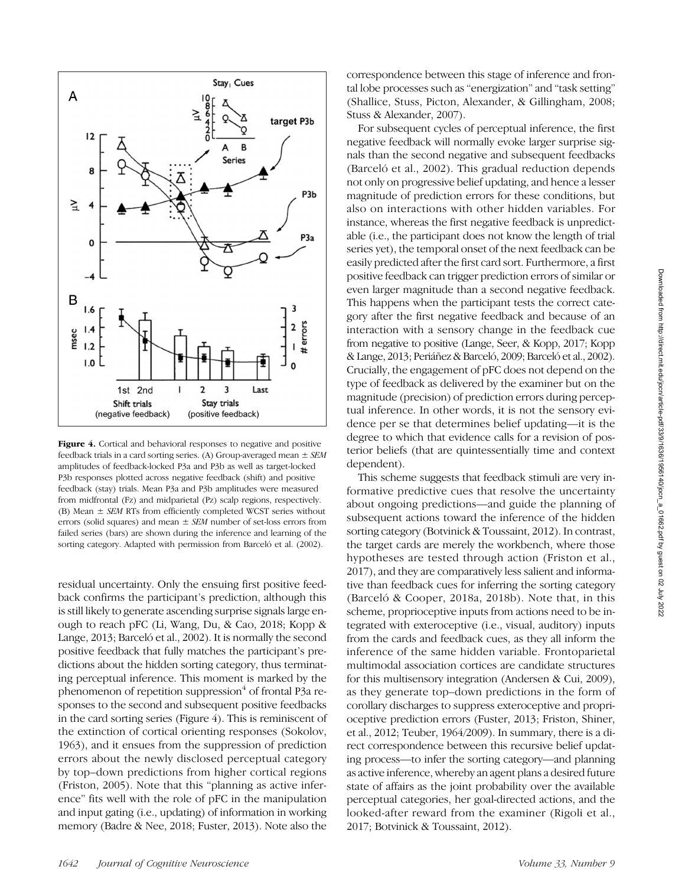

Figure 4. Cortical and behavioral responses to negative and positive feedback trials in a card sorting series. (A) Group-averaged mean  $\pm$  SEM amplitudes of feedback-locked P3a and P3b as well as target-locked P3b responses plotted across negative feedback (shift) and positive feedback (stay) trials. Mean P3a and P3b amplitudes were measured from midfrontal (Fz) and midparietal (Pz) scalp regions, respectively. (B) Mean  $\pm$  SEM RTs from efficiently completed WCST series without errors (solid squares) and mean  $\pm$  SEM number of set-loss errors from failed series (bars) are shown during the inference and learning of the sorting category. Adapted with permission from Barceló et al. (2002).

residual uncertainty. Only the ensuing first positive feedback confirms the participant's prediction, although this is still likely to generate ascending surprise signals large enough to reach pFC (Li, Wang, Du, & Cao, 2018; Kopp & Lange, 2013; Barceló et al., 2002). It is normally the second positive feedback that fully matches the participant's predictions about the hidden sorting category, thus terminating perceptual inference. This moment is marked by the phenomenon of repetition suppression<sup>4</sup> of frontal P3a responses to the second and subsequent positive feedbacks in the card sorting series (Figure 4). This is reminiscent of the extinction of cortical orienting responses (Sokolov, 1963), and it ensues from the suppression of prediction errors about the newly disclosed perceptual category by top–down predictions from higher cortical regions (Friston, 2005). Note that this "planning as active inference" fits well with the role of pFC in the manipulation and input gating (i.e., updating) of information in working memory (Badre & Nee, 2018; Fuster, 2013). Note also the correspondence between this stage of inference and frontal lobe processes such as "energization" and "task setting" (Shallice, Stuss, Picton, Alexander, & Gillingham, 2008; Stuss & Alexander, 2007).

For subsequent cycles of perceptual inference, the first negative feedback will normally evoke larger surprise signals than the second negative and subsequent feedbacks (Barceló et al., 2002). This gradual reduction depends not only on progressive belief updating, and hence a lesser magnitude of prediction errors for these conditions, but also on interactions with other hidden variables. For instance, whereas the first negative feedback is unpredictable (i.e., the participant does not know the length of trial series yet), the temporal onset of the next feedback can be easily predicted after the first card sort. Furthermore, a first positive feedback can trigger prediction errors of similar or even larger magnitude than a second negative feedback. This happens when the participant tests the correct category after the first negative feedback and because of an interaction with a sensory change in the feedback cue from negative to positive (Lange, Seer, & Kopp, 2017; Kopp & Lange, 2013; Periáñez & Barceló, 2009; Barceló et al., 2002). Crucially, the engagement of pFC does not depend on the type of feedback as delivered by the examiner but on the magnitude (precision) of prediction errors during perceptual inference. In other words, it is not the sensory evidence per se that determines belief updating—it is the degree to which that evidence calls for a revision of posterior beliefs (that are quintessentially time and context dependent).

This scheme suggests that feedback stimuli are very informative predictive cues that resolve the uncertainty about ongoing predictions—and guide the planning of subsequent actions toward the inference of the hidden sorting category (Botvinick & Toussaint, 2012). In contrast, the target cards are merely the workbench, where those hypotheses are tested through action (Friston et al., 2017), and they are comparatively less salient and informative than feedback cues for inferring the sorting category (Barceló & Cooper, 2018a, 2018b). Note that, in this scheme, proprioceptive inputs from actions need to be integrated with exteroceptive (i.e., visual, auditory) inputs from the cards and feedback cues, as they all inform the inference of the same hidden variable. Frontoparietal multimodal association cortices are candidate structures for this multisensory integration (Andersen & Cui, 2009), as they generate top–down predictions in the form of corollary discharges to suppress exteroceptive and proprioceptive prediction errors (Fuster, 2013; Friston, Shiner, et al., 2012; Teuber, 1964/2009). In summary, there is a direct correspondence between this recursive belief updating process—to infer the sorting category—and planning as active inference, whereby an agent plans a desired future state of affairs as the joint probability over the available perceptual categories, her goal-directed actions, and the looked-after reward from the examiner (Rigoli et al., 2017; Botvinick & Toussaint, 2012).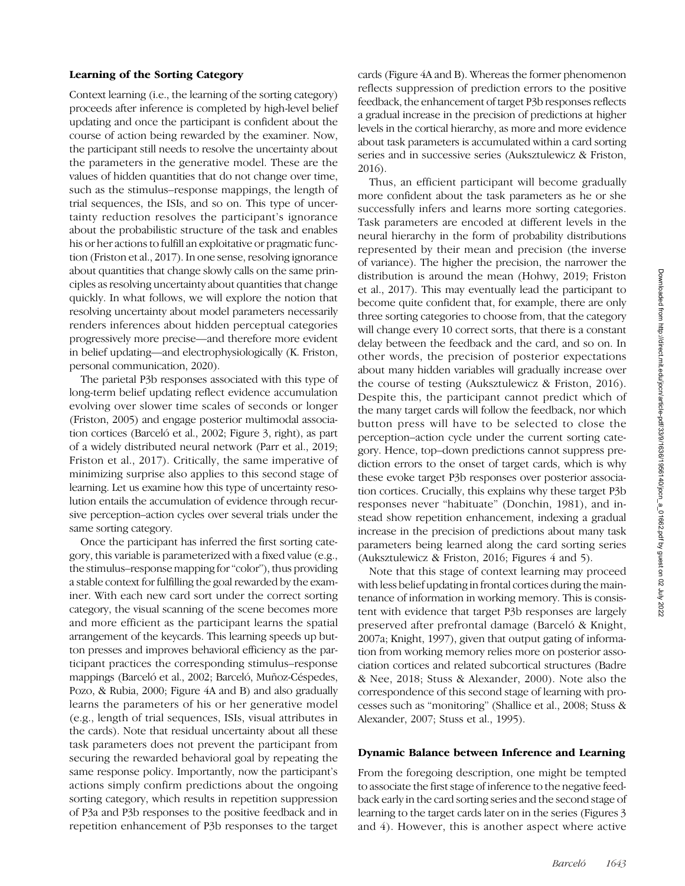# Learning of the Sorting Category

Context learning (i.e., the learning of the sorting category) proceeds after inference is completed by high-level belief updating and once the participant is confident about the course of action being rewarded by the examiner. Now, the participant still needs to resolve the uncertainty about the parameters in the generative model. These are the values of hidden quantities that do not change over time, such as the stimulus–response mappings, the length of trial sequences, the ISIs, and so on. This type of uncertainty reduction resolves the participant's ignorance about the probabilistic structure of the task and enables his or her actions to fulfill an exploitative or pragmatic function (Friston et al., 2017). In one sense, resolving ignorance about quantities that change slowly calls on the same principles as resolving uncertainty about quantities that change quickly. In what follows, we will explore the notion that resolving uncertainty about model parameters necessarily renders inferences about hidden perceptual categories progressively more precise—and therefore more evident in belief updating—and electrophysiologically (K. Friston, personal communication, 2020).

The parietal P3b responses associated with this type of long-term belief updating reflect evidence accumulation evolving over slower time scales of seconds or longer (Friston, 2005) and engage posterior multimodal association cortices (Barceló et al., 2002; Figure 3, right), as part of a widely distributed neural network (Parr et al., 2019; Friston et al., 2017). Critically, the same imperative of minimizing surprise also applies to this second stage of learning. Let us examine how this type of uncertainty resolution entails the accumulation of evidence through recursive perception–action cycles over several trials under the same sorting category.

Once the participant has inferred the first sorting category, this variable is parameterized with a fixed value (e.g., the stimulus–response mapping for"color"), thus providing a stable context for fulfilling the goal rewarded by the examiner. With each new card sort under the correct sorting category, the visual scanning of the scene becomes more and more efficient as the participant learns the spatial arrangement of the keycards. This learning speeds up button presses and improves behavioral efficiency as the participant practices the corresponding stimulus–response mappings (Barceló et al., 2002; Barceló, Muñoz-Céspedes, Pozo, & Rubia, 2000; Figure 4A and B) and also gradually learns the parameters of his or her generative model (e.g., length of trial sequences, ISIs, visual attributes in the cards). Note that residual uncertainty about all these task parameters does not prevent the participant from securing the rewarded behavioral goal by repeating the same response policy. Importantly, now the participant's actions simply confirm predictions about the ongoing sorting category, which results in repetition suppression of P3a and P3b responses to the positive feedback and in repetition enhancement of P3b responses to the target

cards (Figure 4A and B). Whereas the former phenomenon reflects suppression of prediction errors to the positive feedback, the enhancement of target P3b responses reflects a gradual increase in the precision of predictions at higher levels in the cortical hierarchy, as more and more evidence about task parameters is accumulated within a card sorting series and in successive series (Auksztulewicz & Friston, 2016).

Thus, an efficient participant will become gradually more confident about the task parameters as he or she successfully infers and learns more sorting categories. Task parameters are encoded at different levels in the neural hierarchy in the form of probability distributions represented by their mean and precision (the inverse of variance). The higher the precision, the narrower the distribution is around the mean (Hohwy, 2019; Friston et al., 2017). This may eventually lead the participant to become quite confident that, for example, there are only three sorting categories to choose from, that the category will change every 10 correct sorts, that there is a constant delay between the feedback and the card, and so on. In other words, the precision of posterior expectations about many hidden variables will gradually increase over the course of testing (Auksztulewicz & Friston, 2016). Despite this, the participant cannot predict which of the many target cards will follow the feedback, nor which button press will have to be selected to close the perception–action cycle under the current sorting category. Hence, top–down predictions cannot suppress prediction errors to the onset of target cards, which is why these evoke target P3b responses over posterior association cortices. Crucially, this explains why these target P3b responses never "habituate" (Donchin, 1981), and instead show repetition enhancement, indexing a gradual increase in the precision of predictions about many task parameters being learned along the card sorting series (Auksztulewicz & Friston, 2016; Figures 4 and 5).

Note that this stage of context learning may proceed with less belief updating in frontal cortices during the maintenance of information in working memory. This is consistent with evidence that target P3b responses are largely preserved after prefrontal damage (Barceló & Knight, 2007a; Knight, 1997), given that output gating of information from working memory relies more on posterior association cortices and related subcortical structures (Badre & Nee, 2018; Stuss & Alexander, 2000). Note also the correspondence of this second stage of learning with processes such as "monitoring" (Shallice et al., 2008; Stuss & Alexander, 2007; Stuss et al., 1995).

#### Dynamic Balance between Inference and Learning

From the foregoing description, one might be tempted to associate the first stage of inference to the negative feedback early in the card sorting series and the second stage of learning to the target cards later on in the series (Figures 3 and 4). However, this is another aspect where active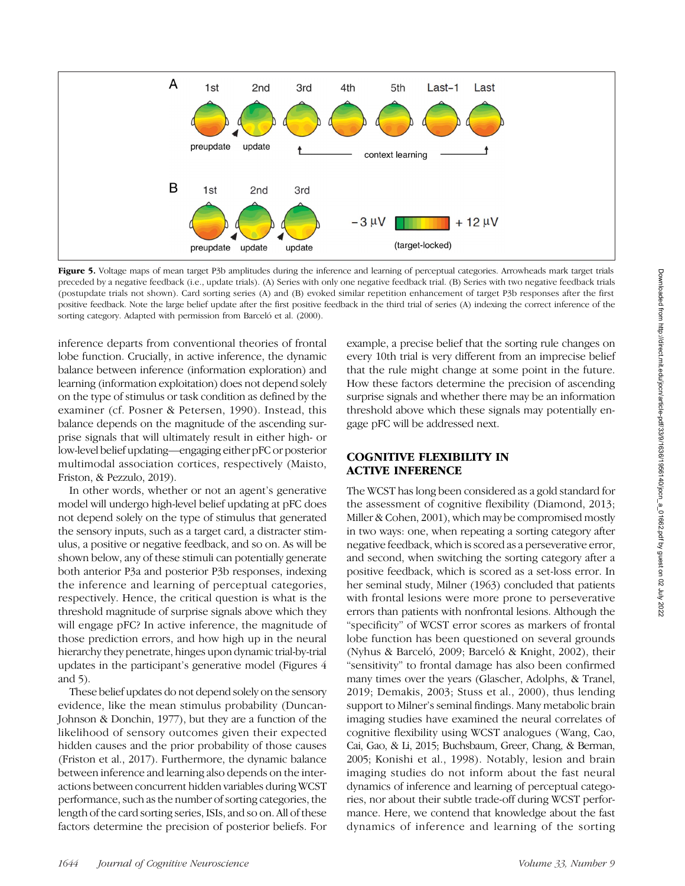

Figure 5. Voltage maps of mean target P3b amplitudes during the inference and learning of perceptual categories. Arrowheads mark target trials preceded by a negative feedback (i.e., update trials). (A) Series with only one negative feedback trial. (B) Series with two negative feedback trials (postupdate trials not shown). Card sorting series (A) and (B) evoked similar repetition enhancement of target P3b responses after the first positive feedback. Note the large belief update after the first positive feedback in the third trial of series (A) indexing the correct inference of the sorting category. Adapted with permission from Barceló et al. (2000).

inference departs from conventional theories of frontal lobe function. Crucially, in active inference, the dynamic balance between inference (information exploration) and learning (information exploitation) does not depend solely on the type of stimulus or task condition as defined by the examiner (cf. Posner & Petersen, 1990). Instead, this balance depends on the magnitude of the ascending surprise signals that will ultimately result in either high- or low-level belief updating—engaging either pFC or posterior multimodal association cortices, respectively (Maisto, Friston, & Pezzulo, 2019).

In other words, whether or not an agent's generative model will undergo high-level belief updating at pFC does not depend solely on the type of stimulus that generated the sensory inputs, such as a target card, a distracter stimulus, a positive or negative feedback, and so on. As will be shown below, any of these stimuli can potentially generate both anterior P3a and posterior P3b responses, indexing the inference and learning of perceptual categories, respectively. Hence, the critical question is what is the threshold magnitude of surprise signals above which they will engage pFC? In active inference, the magnitude of those prediction errors, and how high up in the neural hierarchy they penetrate, hinges upon dynamic trial-by-trial updates in the participant's generative model (Figures 4 and 5).

These belief updates do not depend solely on the sensory evidence, like the mean stimulus probability (Duncan-Johnson & Donchin, 1977), but they are a function of the likelihood of sensory outcomes given their expected hidden causes and the prior probability of those causes (Friston et al., 2017). Furthermore, the dynamic balance between inference and learning also depends on the interactions between concurrent hidden variables during WCST performance, such as the number of sorting categories, the length of the card sorting series, ISIs, and so on. All of these factors determine the precision of posterior beliefs. For

example, a precise belief that the sorting rule changes on every 10th trial is very different from an imprecise belief that the rule might change at some point in the future. How these factors determine the precision of ascending surprise signals and whether there may be an information threshold above which these signals may potentially engage pFC will be addressed next.

# COGNITIVE FLEXIBILITY IN ACTIVE INFERENCE

The WCST has long been considered as a gold standard for the assessment of cognitive flexibility (Diamond, 2013; Miller & Cohen, 2001), which may be compromised mostly in two ways: one, when repeating a sorting category after negative feedback, which is scored as a perseverative error, and second, when switching the sorting category after a positive feedback, which is scored as a set-loss error. In her seminal study, Milner (1963) concluded that patients with frontal lesions were more prone to perseverative errors than patients with nonfrontal lesions. Although the "specificity" of WCST error scores as markers of frontal lobe function has been questioned on several grounds (Nyhus & Barceló, 2009; Barceló & Knight, 2002), their "sensitivity" to frontal damage has also been confirmed many times over the years (Glascher, Adolphs, & Tranel, 2019; Demakis, 2003; Stuss et al., 2000), thus lending support to Milner's seminal findings. Many metabolic brain imaging studies have examined the neural correlates of cognitive flexibility using WCST analogues (Wang, Cao, Cai, Gao, & Li, 2015; Buchsbaum, Greer, Chang, & Berman, 2005; Konishi et al., 1998). Notably, lesion and brain imaging studies do not inform about the fast neural dynamics of inference and learning of perceptual categories, nor about their subtle trade-off during WCST performance. Here, we contend that knowledge about the fast dynamics of inference and learning of the sorting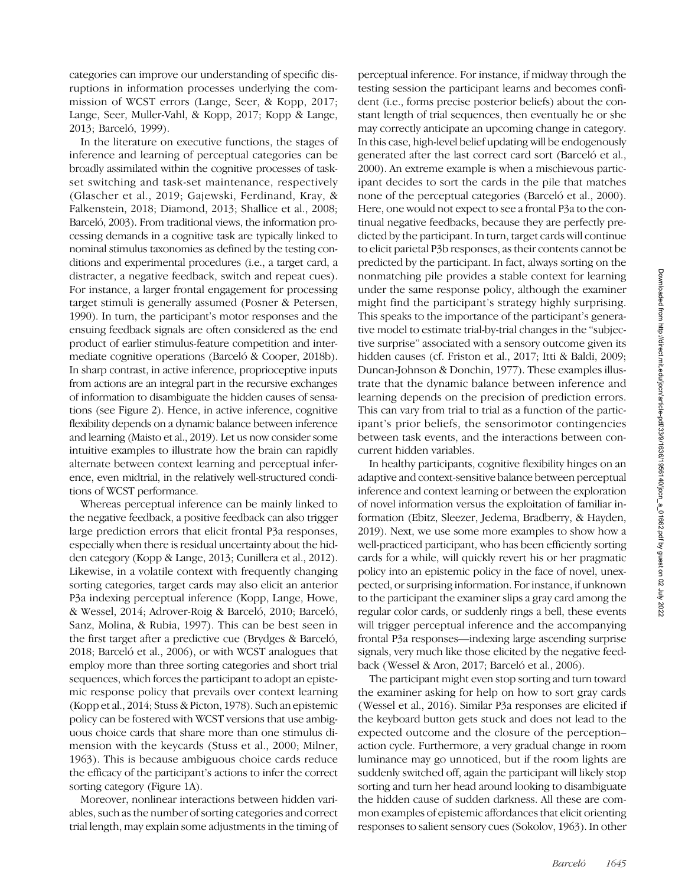categories can improve our understanding of specific disruptions in information processes underlying the commission of WCST errors (Lange, Seer, & Kopp, 2017; Lange, Seer, Muller-Vahl, & Kopp, 2017; Kopp & Lange, 2013; Barceló, 1999).

In the literature on executive functions, the stages of inference and learning of perceptual categories can be broadly assimilated within the cognitive processes of taskset switching and task-set maintenance, respectively (Glascher et al., 2019; Gajewski, Ferdinand, Kray, & Falkenstein, 2018; Diamond, 2013; Shallice et al., 2008; Barceló, 2003). From traditional views, the information processing demands in a cognitive task are typically linked to nominal stimulus taxonomies as defined by the testing conditions and experimental procedures (i.e., a target card, a distracter, a negative feedback, switch and repeat cues). For instance, a larger frontal engagement for processing target stimuli is generally assumed (Posner & Petersen, 1990). In turn, the participant's motor responses and the ensuing feedback signals are often considered as the end product of earlier stimulus-feature competition and intermediate cognitive operations (Barceló & Cooper, 2018b). In sharp contrast, in active inference, proprioceptive inputs from actions are an integral part in the recursive exchanges of information to disambiguate the hidden causes of sensations (see Figure 2). Hence, in active inference, cognitive flexibility depends on a dynamic balance between inference and learning (Maisto et al., 2019). Let us now consider some intuitive examples to illustrate how the brain can rapidly alternate between context learning and perceptual inference, even midtrial, in the relatively well-structured conditions of WCST performance.

Whereas perceptual inference can be mainly linked to the negative feedback, a positive feedback can also trigger large prediction errors that elicit frontal P3a responses, especially when there is residual uncertainty about the hidden category (Kopp & Lange, 2013; Cunillera et al., 2012). Likewise, in a volatile context with frequently changing sorting categories, target cards may also elicit an anterior P3a indexing perceptual inference (Kopp, Lange, Howe, & Wessel, 2014; Adrover-Roig & Barceló, 2010; Barceló, Sanz, Molina, & Rubia, 1997). This can be best seen in the first target after a predictive cue (Brydges & Barceló, 2018; Barceló et al., 2006), or with WCST analogues that employ more than three sorting categories and short trial sequences, which forces the participant to adopt an epistemic response policy that prevails over context learning (Kopp et al., 2014; Stuss & Picton, 1978). Such an epistemic policy can be fostered with WCST versions that use ambiguous choice cards that share more than one stimulus dimension with the keycards (Stuss et al., 2000; Milner, 1963). This is because ambiguous choice cards reduce the efficacy of the participant's actions to infer the correct sorting category (Figure 1A).

Moreover, nonlinear interactions between hidden variables, such as the number of sorting categories and correct trial length, may explain some adjustments in the timing of

perceptual inference. For instance, if midway through the testing session the participant learns and becomes confident (i.e., forms precise posterior beliefs) about the constant length of trial sequences, then eventually he or she may correctly anticipate an upcoming change in category. In this case, high-level belief updating will be endogenously generated after the last correct card sort (Barceló et al., 2000). An extreme example is when a mischievous participant decides to sort the cards in the pile that matches none of the perceptual categories (Barceló et al., 2000). Here, one would not expect to see a frontal P3a to the continual negative feedbacks, because they are perfectly predicted by the participant. In turn, target cards will continue to elicit parietal P3b responses, as their contents cannot be predicted by the participant. In fact, always sorting on the nonmatching pile provides a stable context for learning under the same response policy, although the examiner might find the participant's strategy highly surprising. This speaks to the importance of the participant's generative model to estimate trial-by-trial changes in the "subjective surprise" associated with a sensory outcome given its hidden causes (cf. Friston et al., 2017; Itti & Baldi, 2009; Duncan-Johnson & Donchin, 1977). These examples illustrate that the dynamic balance between inference and learning depends on the precision of prediction errors. This can vary from trial to trial as a function of the participant's prior beliefs, the sensorimotor contingencies between task events, and the interactions between concurrent hidden variables.

In healthy participants, cognitive flexibility hinges on an adaptive and context-sensitive balance between perceptual inference and context learning or between the exploration of novel information versus the exploitation of familiar information (Ebitz, Sleezer, Jedema, Bradberry, & Hayden, 2019). Next, we use some more examples to show how a well-practiced participant, who has been efficiently sorting cards for a while, will quickly revert his or her pragmatic policy into an epistemic policy in the face of novel, unexpected, or surprising information. For instance, if unknown to the participant the examiner slips a gray card among the regular color cards, or suddenly rings a bell, these events will trigger perceptual inference and the accompanying frontal P3a responses—indexing large ascending surprise signals, very much like those elicited by the negative feedback (Wessel & Aron, 2017; Barceló et al., 2006).

The participant might even stop sorting and turn toward the examiner asking for help on how to sort gray cards (Wessel et al., 2016). Similar P3a responses are elicited if the keyboard button gets stuck and does not lead to the expected outcome and the closure of the perception– action cycle. Furthermore, a very gradual change in room luminance may go unnoticed, but if the room lights are suddenly switched off, again the participant will likely stop sorting and turn her head around looking to disambiguate the hidden cause of sudden darkness. All these are common examples of epistemic affordances that elicit orienting responses to salient sensory cues (Sokolov, 1963). In other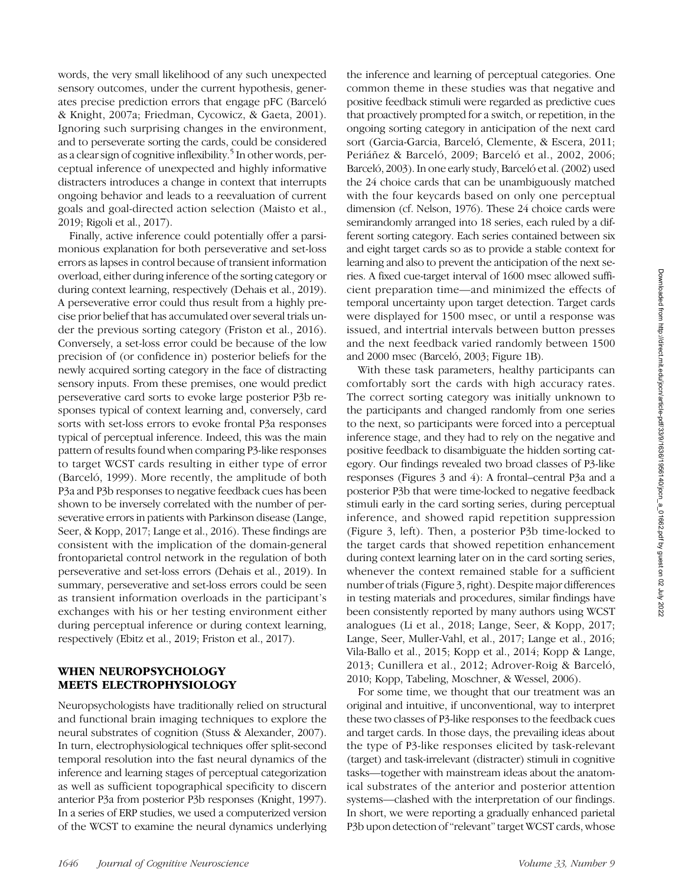words, the very small likelihood of any such unexpected sensory outcomes, under the current hypothesis, generates precise prediction errors that engage pFC (Barceló & Knight, 2007a; Friedman, Cycowicz, & Gaeta, 2001). Ignoring such surprising changes in the environment, and to perseverate sorting the cards, could be considered as a clear sign of cognitive inflexibility.<sup>5</sup> In other words, perceptual inference of unexpected and highly informative distracters introduces a change in context that interrupts ongoing behavior and leads to a reevaluation of current goals and goal-directed action selection (Maisto et al., 2019; Rigoli et al., 2017).

Finally, active inference could potentially offer a parsimonious explanation for both perseverative and set-loss errors as lapses in control because of transient information overload, either during inference of the sorting category or during context learning, respectively (Dehais et al., 2019). A perseverative error could thus result from a highly precise prior belief that has accumulated over several trials under the previous sorting category (Friston et al., 2016). Conversely, a set-loss error could be because of the low precision of (or confidence in) posterior beliefs for the newly acquired sorting category in the face of distracting sensory inputs. From these premises, one would predict perseverative card sorts to evoke large posterior P3b responses typical of context learning and, conversely, card sorts with set-loss errors to evoke frontal P3a responses typical of perceptual inference. Indeed, this was the main pattern of results found when comparing P3-like responses to target WCST cards resulting in either type of error (Barceló, 1999). More recently, the amplitude of both P3a and P3b responses to negative feedback cues has been shown to be inversely correlated with the number of perseverative errors in patients with Parkinson disease (Lange, Seer, & Kopp, 2017; Lange et al., 2016). These findings are consistent with the implication of the domain-general frontoparietal control network in the regulation of both perseverative and set-loss errors (Dehais et al., 2019). In summary, perseverative and set-loss errors could be seen as transient information overloads in the participant's exchanges with his or her testing environment either during perceptual inference or during context learning, respectively (Ebitz et al., 2019; Friston et al., 2017).

# WHEN NEUROPSYCHOLOGY MEETS ELECTROPHYSIOLOGY

Neuropsychologists have traditionally relied on structural and functional brain imaging techniques to explore the neural substrates of cognition (Stuss & Alexander, 2007). In turn, electrophysiological techniques offer split-second temporal resolution into the fast neural dynamics of the inference and learning stages of perceptual categorization as well as sufficient topographical specificity to discern anterior P3a from posterior P3b responses (Knight, 1997). In a series of ERP studies, we used a computerized version of the WCST to examine the neural dynamics underlying the inference and learning of perceptual categories. One common theme in these studies was that negative and positive feedback stimuli were regarded as predictive cues that proactively prompted for a switch, or repetition, in the ongoing sorting category in anticipation of the next card sort (Garcia-Garcia, Barceló, Clemente, & Escera, 2011; Periáñez & Barceló, 2009; Barceló et al., 2002, 2006; Barceló, 2003). In one early study, Barceló et al. (2002) used the 24 choice cards that can be unambiguously matched with the four keycards based on only one perceptual dimension (cf. Nelson, 1976). These 24 choice cards were semirandomly arranged into 18 series, each ruled by a different sorting category. Each series contained between six and eight target cards so as to provide a stable context for learning and also to prevent the anticipation of the next series. A fixed cue-target interval of 1600 msec allowed sufficient preparation time—and minimized the effects of temporal uncertainty upon target detection. Target cards were displayed for 1500 msec, or until a response was issued, and intertrial intervals between button presses and the next feedback varied randomly between 1500 and 2000 msec (Barceló, 2003; Figure 1B).

With these task parameters, healthy participants can comfortably sort the cards with high accuracy rates. The correct sorting category was initially unknown to the participants and changed randomly from one series to the next, so participants were forced into a perceptual inference stage, and they had to rely on the negative and positive feedback to disambiguate the hidden sorting category. Our findings revealed two broad classes of P3-like responses (Figures 3 and 4): A frontal–central P3a and a posterior P3b that were time-locked to negative feedback stimuli early in the card sorting series, during perceptual inference, and showed rapid repetition suppression (Figure 3, left). Then, a posterior P3b time-locked to the target cards that showed repetition enhancement during context learning later on in the card sorting series, whenever the context remained stable for a sufficient number of trials (Figure 3, right). Despite major differences in testing materials and procedures, similar findings have been consistently reported by many authors using WCST analogues (Li et al., 2018; Lange, Seer, & Kopp, 2017; Lange, Seer, Muller-Vahl, et al., 2017; Lange et al., 2016; Vila-Ballo et al., 2015; Kopp et al., 2014; Kopp & Lange, 2013; Cunillera et al., 2012; Adrover-Roig & Barceló, 2010; Kopp, Tabeling, Moschner, & Wessel, 2006).

For some time, we thought that our treatment was an original and intuitive, if unconventional, way to interpret these two classes of P3-like responses to the feedback cues and target cards. In those days, the prevailing ideas about the type of P3-like responses elicited by task-relevant (target) and task-irrelevant (distracter) stimuli in cognitive tasks—together with mainstream ideas about the anatomical substrates of the anterior and posterior attention systems—clashed with the interpretation of our findings. In short, we were reporting a gradually enhanced parietal P3b upon detection of "relevant" target WCST cards, whose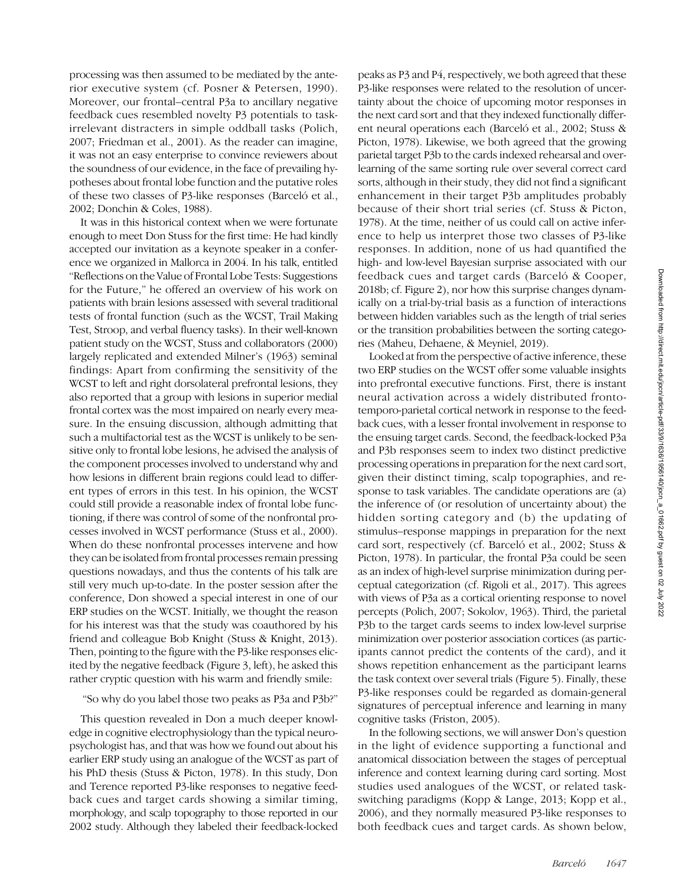processing was then assumed to be mediated by the anterior executive system (cf. Posner & Petersen, 1990). Moreover, our frontal–central P3a to ancillary negative feedback cues resembled novelty P3 potentials to taskirrelevant distracters in simple oddball tasks (Polich, 2007; Friedman et al., 2001). As the reader can imagine, it was not an easy enterprise to convince reviewers about the soundness of our evidence, in the face of prevailing hypotheses about frontal lobe function and the putative roles of these two classes of P3-like responses (Barceló et al., 2002; Donchin & Coles, 1988).

It was in this historical context when we were fortunate enough to meet Don Stuss for the first time: He had kindly accepted our invitation as a keynote speaker in a conference we organized in Mallorca in 2004. In his talk, entitled "Reflections on the Value of Frontal Lobe Tests: Suggestions for the Future," he offered an overview of his work on patients with brain lesions assessed with several traditional tests of frontal function (such as the WCST, Trail Making Test, Stroop, and verbal fluency tasks). In their well-known patient study on the WCST, Stuss and collaborators (2000) largely replicated and extended Milner's (1963) seminal findings: Apart from confirming the sensitivity of the WCST to left and right dorsolateral prefrontal lesions, they also reported that a group with lesions in superior medial frontal cortex was the most impaired on nearly every measure. In the ensuing discussion, although admitting that such a multifactorial test as the WCST is unlikely to be sensitive only to frontal lobe lesions, he advised the analysis of the component processes involved to understand why and how lesions in different brain regions could lead to different types of errors in this test. In his opinion, the WCST could still provide a reasonable index of frontal lobe functioning, if there was control of some of the nonfrontal processes involved in WCST performance (Stuss et al., 2000). When do these nonfrontal processes intervene and how they can be isolated from frontal processes remain pressing questions nowadays, and thus the contents of his talk are still very much up-to-date. In the poster session after the conference, Don showed a special interest in one of our ERP studies on the WCST. Initially, we thought the reason for his interest was that the study was coauthored by his friend and colleague Bob Knight (Stuss & Knight, 2013). Then, pointing to the figure with the P3-like responses elicited by the negative feedback (Figure 3, left), he asked this rather cryptic question with his warm and friendly smile:

"So why do you label those two peaks as P3a and P3b?"

This question revealed in Don a much deeper knowledge in cognitive electrophysiology than the typical neuropsychologist has, and that was how we found out about his earlier ERP study using an analogue of the WCST as part of his PhD thesis (Stuss & Picton, 1978). In this study, Don and Terence reported P3-like responses to negative feedback cues and target cards showing a similar timing, morphology, and scalp topography to those reported in our 2002 study. Although they labeled their feedback-locked

peaks as P3 and P4, respectively, we both agreed that these P3-like responses were related to the resolution of uncertainty about the choice of upcoming motor responses in the next card sort and that they indexed functionally different neural operations each (Barceló et al., 2002; Stuss & Picton, 1978). Likewise, we both agreed that the growing parietal target P3b to the cards indexed rehearsal and overlearning of the same sorting rule over several correct card sorts, although in their study, they did not find a significant enhancement in their target P3b amplitudes probably because of their short trial series (cf. Stuss & Picton, 1978). At the time, neither of us could call on active inference to help us interpret those two classes of P3-like responses. In addition, none of us had quantified the high- and low-level Bayesian surprise associated with our feedback cues and target cards (Barceló & Cooper, 2018b; cf. Figure 2), nor how this surprise changes dynamically on a trial-by-trial basis as a function of interactions between hidden variables such as the length of trial series or the transition probabilities between the sorting categories (Maheu, Dehaene, & Meyniel, 2019).

Looked at from the perspective of active inference, these two ERP studies on the WCST offer some valuable insights into prefrontal executive functions. First, there is instant neural activation across a widely distributed frontotemporo-parietal cortical network in response to the feedback cues, with a lesser frontal involvement in response to the ensuing target cards. Second, the feedback-locked P3a and P3b responses seem to index two distinct predictive processing operations in preparation for the next card sort, given their distinct timing, scalp topographies, and response to task variables. The candidate operations are (a) the inference of (or resolution of uncertainty about) the hidden sorting category and (b) the updating of stimulus–response mappings in preparation for the next card sort, respectively (cf. Barceló et al., 2002; Stuss & Picton, 1978). In particular, the frontal P3a could be seen as an index of high-level surprise minimization during perceptual categorization (cf. Rigoli et al., 2017). This agrees with views of P3a as a cortical orienting response to novel percepts (Polich, 2007; Sokolov, 1963). Third, the parietal P3b to the target cards seems to index low-level surprise minimization over posterior association cortices (as participants cannot predict the contents of the card), and it shows repetition enhancement as the participant learns the task context over several trials (Figure 5). Finally, these P3-like responses could be regarded as domain-general signatures of perceptual inference and learning in many cognitive tasks (Friston, 2005).

In the following sections, we will answer Don's question in the light of evidence supporting a functional and anatomical dissociation between the stages of perceptual inference and context learning during card sorting. Most studies used analogues of the WCST, or related taskswitching paradigms (Kopp & Lange, 2013; Kopp et al., 2006), and they normally measured P3-like responses to both feedback cues and target cards. As shown below,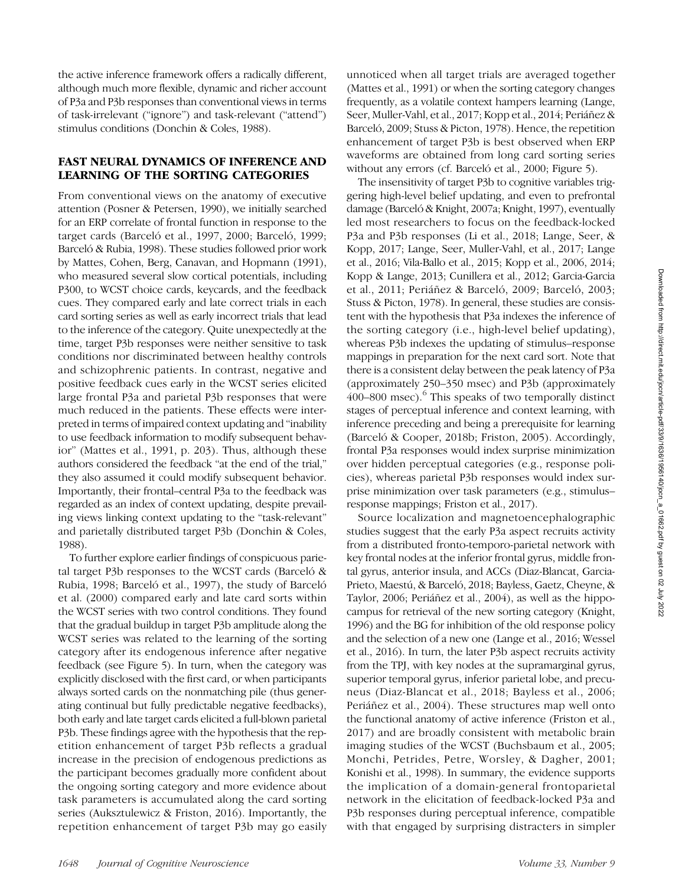the active inference framework offers a radically different, although much more flexible, dynamic and richer account of P3a and P3b responses than conventional views in terms of task-irrelevant ("ignore") and task-relevant ("attend") stimulus conditions (Donchin & Coles, 1988).

# FAST NEURAL DYNAMICS OF INFERENCE AND LEARNING OF THE SORTING CATEGORIES

From conventional views on the anatomy of executive attention (Posner & Petersen, 1990), we initially searched for an ERP correlate of frontal function in response to the target cards (Barceló et al., 1997, 2000; Barceló, 1999; Barceló & Rubia, 1998). These studies followed prior work by Mattes, Cohen, Berg, Canavan, and Hopmann (1991), who measured several slow cortical potentials, including P300, to WCST choice cards, keycards, and the feedback cues. They compared early and late correct trials in each card sorting series as well as early incorrect trials that lead to the inference of the category. Quite unexpectedly at the time, target P3b responses were neither sensitive to task conditions nor discriminated between healthy controls and schizophrenic patients. In contrast, negative and positive feedback cues early in the WCST series elicited large frontal P3a and parietal P3b responses that were much reduced in the patients. These effects were interpreted in terms of impaired context updating and "inability to use feedback information to modify subsequent behavior" (Mattes et al., 1991, p. 203). Thus, although these authors considered the feedback "at the end of the trial," they also assumed it could modify subsequent behavior. Importantly, their frontal–central P3a to the feedback was regarded as an index of context updating, despite prevailing views linking context updating to the "task-relevant" and parietally distributed target P3b (Donchin & Coles, 1988).

To further explore earlier findings of conspicuous parietal target P3b responses to the WCST cards (Barceló & Rubia, 1998; Barceló et al., 1997), the study of Barceló et al. (2000) compared early and late card sorts within the WCST series with two control conditions. They found that the gradual buildup in target P3b amplitude along the WCST series was related to the learning of the sorting category after its endogenous inference after negative feedback (see Figure 5). In turn, when the category was explicitly disclosed with the first card, or when participants always sorted cards on the nonmatching pile (thus generating continual but fully predictable negative feedbacks), both early and late target cards elicited a full-blown parietal P3b. These findings agree with the hypothesis that the repetition enhancement of target P3b reflects a gradual increase in the precision of endogenous predictions as the participant becomes gradually more confident about the ongoing sorting category and more evidence about task parameters is accumulated along the card sorting series (Auksztulewicz & Friston, 2016). Importantly, the repetition enhancement of target P3b may go easily

unnoticed when all target trials are averaged together (Mattes et al., 1991) or when the sorting category changes frequently, as a volatile context hampers learning (Lange, Seer, Muller-Vahl, et al., 2017; Kopp et al., 2014; Periáñez & Barceló, 2009; Stuss & Picton, 1978). Hence, the repetition enhancement of target P3b is best observed when ERP waveforms are obtained from long card sorting series without any errors (cf. Barceló et al., 2000; Figure 5).

The insensitivity of target P3b to cognitive variables triggering high-level belief updating, and even to prefrontal damage (Barceló & Knight, 2007a; Knight, 1997), eventually led most researchers to focus on the feedback-locked P3a and P3b responses (Li et al., 2018; Lange, Seer, & Kopp, 2017; Lange, Seer, Muller-Vahl, et al., 2017; Lange et al., 2016; Vila-Ballo et al., 2015; Kopp et al., 2006, 2014; Kopp & Lange, 2013; Cunillera et al., 2012; Garcia-Garcia et al., 2011; Periáñez & Barceló, 2009; Barceló, 2003; Stuss & Picton, 1978). In general, these studies are consistent with the hypothesis that P3a indexes the inference of the sorting category (i.e., high-level belief updating), whereas P3b indexes the updating of stimulus–response mappings in preparation for the next card sort. Note that there is a consistent delay between the peak latency of P3a (approximately 250–350 msec) and P3b (approximately  $400-800$  msec).<sup>6</sup> This speaks of two temporally distinct stages of perceptual inference and context learning, with inference preceding and being a prerequisite for learning (Barceló & Cooper, 2018b; Friston, 2005). Accordingly, frontal P3a responses would index surprise minimization over hidden perceptual categories (e.g., response policies), whereas parietal P3b responses would index surprise minimization over task parameters (e.g., stimulus– response mappings; Friston et al., 2017).

Source localization and magnetoencephalographic studies suggest that the early P3a aspect recruits activity from a distributed fronto-temporo-parietal network with key frontal nodes at the inferior frontal gyrus, middle frontal gyrus, anterior insula, and ACCs (Diaz-Blancat, Garcia-Prieto, Maestú, & Barceló, 2018; Bayless, Gaetz, Cheyne, & Taylor, 2006; Periáñez et al., 2004), as well as the hippocampus for retrieval of the new sorting category (Knight, 1996) and the BG for inhibition of the old response policy and the selection of a new one (Lange et al., 2016; Wessel et al., 2016). In turn, the later P3b aspect recruits activity from the TPJ, with key nodes at the supramarginal gyrus, superior temporal gyrus, inferior parietal lobe, and precuneus (Diaz-Blancat et al., 2018; Bayless et al., 2006; Periáñez et al., 2004). These structures map well onto the functional anatomy of active inference (Friston et al., 2017) and are broadly consistent with metabolic brain imaging studies of the WCST (Buchsbaum et al., 2005; Monchi, Petrides, Petre, Worsley, & Dagher, 2001; Konishi et al., 1998). In summary, the evidence supports the implication of a domain-general frontoparietal network in the elicitation of feedback-locked P3a and P3b responses during perceptual inference, compatible with that engaged by surprising distracters in simpler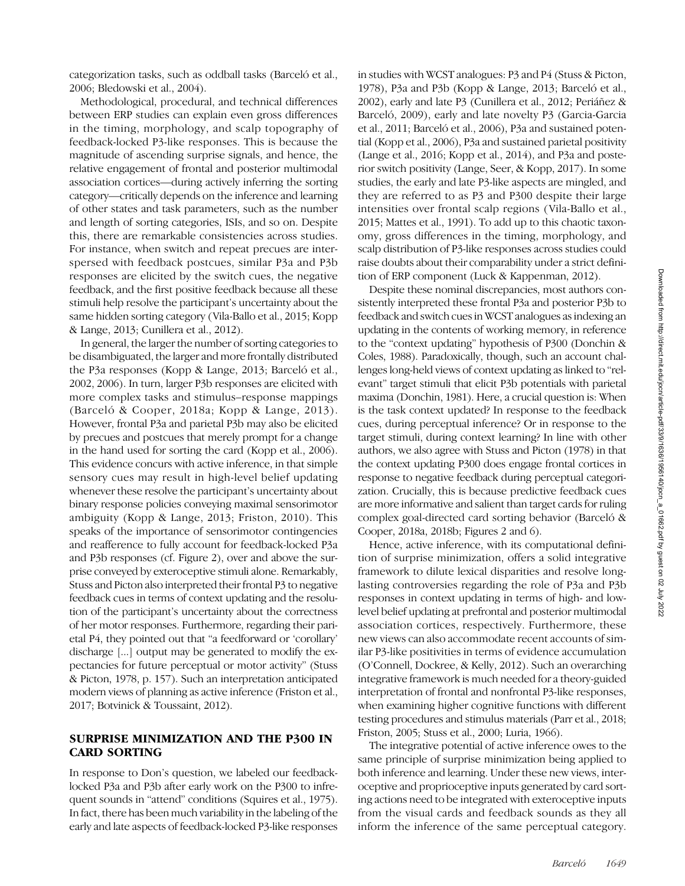categorization tasks, such as oddball tasks (Barceló et al., 2006; Bledowski et al., 2004).

Methodological, procedural, and technical differences between ERP studies can explain even gross differences in the timing, morphology, and scalp topography of feedback-locked P3-like responses. This is because the magnitude of ascending surprise signals, and hence, the relative engagement of frontal and posterior multimodal association cortices—during actively inferring the sorting category—critically depends on the inference and learning of other states and task parameters, such as the number and length of sorting categories, ISIs, and so on. Despite this, there are remarkable consistencies across studies. For instance, when switch and repeat precues are interspersed with feedback postcues, similar P3a and P3b responses are elicited by the switch cues, the negative feedback, and the first positive feedback because all these stimuli help resolve the participant's uncertainty about the same hidden sorting category (Vila-Ballo et al., 2015; Kopp & Lange, 2013; Cunillera et al., 2012).

In general, the larger the number of sorting categories to be disambiguated, the larger and more frontally distributed the P3a responses (Kopp & Lange, 2013; Barceló et al., 2002, 2006). In turn, larger P3b responses are elicited with more complex tasks and stimulus–response mappings (Barceló & Cooper, 2018a; Kopp & Lange, 2013). However, frontal P3a and parietal P3b may also be elicited by precues and postcues that merely prompt for a change in the hand used for sorting the card (Kopp et al., 2006). This evidence concurs with active inference, in that simple sensory cues may result in high-level belief updating whenever these resolve the participant's uncertainty about binary response policies conveying maximal sensorimotor ambiguity (Kopp & Lange, 2013; Friston, 2010). This speaks of the importance of sensorimotor contingencies and reafference to fully account for feedback-locked P3a and P3b responses (cf. Figure 2), over and above the surprise conveyed by exteroceptive stimuli alone. Remarkably, Stuss and Picton also interpreted their frontal P3 to negative feedback cues in terms of context updating and the resolution of the participant's uncertainty about the correctness of her motor responses. Furthermore, regarding their parietal P4, they pointed out that "a feedforward or 'corollary' discharge [...] output may be generated to modify the expectancies for future perceptual or motor activity" (Stuss & Picton, 1978, p. 157). Such an interpretation anticipated modern views of planning as active inference (Friston et al., 2017; Botvinick & Toussaint, 2012).

# SURPRISE MINIMIZATION AND THE P300 IN CARD SORTING

In response to Don's question, we labeled our feedbacklocked P3a and P3b after early work on the P300 to infrequent sounds in "attend" conditions (Squires et al., 1975). In fact, there has been much variability in the labeling of the early and late aspects of feedback-locked P3-like responses in studies with WCST analogues: P3 and P4 (Stuss & Picton, 1978), P3a and P3b (Kopp & Lange, 2013; Barceló et al., 2002), early and late P3 (Cunillera et al., 2012; Periáñez & Barceló, 2009), early and late novelty P3 (Garcia-Garcia et al., 2011; Barceló et al., 2006), P3a and sustained potential (Kopp et al., 2006), P3a and sustained parietal positivity (Lange et al., 2016; Kopp et al., 2014), and P3a and posterior switch positivity (Lange, Seer, & Kopp, 2017). In some studies, the early and late P3-like aspects are mingled, and they are referred to as P3 and P300 despite their large intensities over frontal scalp regions (Vila-Ballo et al., 2015; Mattes et al., 1991). To add up to this chaotic taxonomy, gross differences in the timing, morphology, and scalp distribution of P3-like responses across studies could raise doubts about their comparability under a strict definition of ERP component (Luck & Kappenman, 2012).

Despite these nominal discrepancies, most authors consistently interpreted these frontal P3a and posterior P3b to feedback and switch cues in WCST analogues as indexing an updating in the contents of working memory, in reference to the "context updating" hypothesis of P300 (Donchin & Coles, 1988). Paradoxically, though, such an account challenges long-held views of context updating as linked to "relevant" target stimuli that elicit P3b potentials with parietal maxima (Donchin, 1981). Here, a crucial question is: When is the task context updated? In response to the feedback cues, during perceptual inference? Or in response to the target stimuli, during context learning? In line with other authors, we also agree with Stuss and Picton (1978) in that the context updating P300 does engage frontal cortices in response to negative feedback during perceptual categorization. Crucially, this is because predictive feedback cues are more informative and salient than target cards for ruling complex goal-directed card sorting behavior (Barceló & Cooper, 2018a, 2018b; Figures 2 and 6).

Hence, active inference, with its computational definition of surprise minimization, offers a solid integrative framework to dilute lexical disparities and resolve longlasting controversies regarding the role of P3a and P3b responses in context updating in terms of high- and lowlevel belief updating at prefrontal and posterior multimodal association cortices, respectively. Furthermore, these new views can also accommodate recent accounts of similar P3-like positivities in terms of evidence accumulation (O'Connell, Dockree, & Kelly, 2012). Such an overarching integrative framework is much needed for a theory-guided interpretation of frontal and nonfrontal P3-like responses, when examining higher cognitive functions with different testing procedures and stimulus materials (Parr et al., 2018; Friston, 2005; Stuss et al., 2000; Luria, 1966).

The integrative potential of active inference owes to the same principle of surprise minimization being applied to both inference and learning. Under these new views, interoceptive and proprioceptive inputs generated by card sorting actions need to be integrated with exteroceptive inputs from the visual cards and feedback sounds as they all inform the inference of the same perceptual category.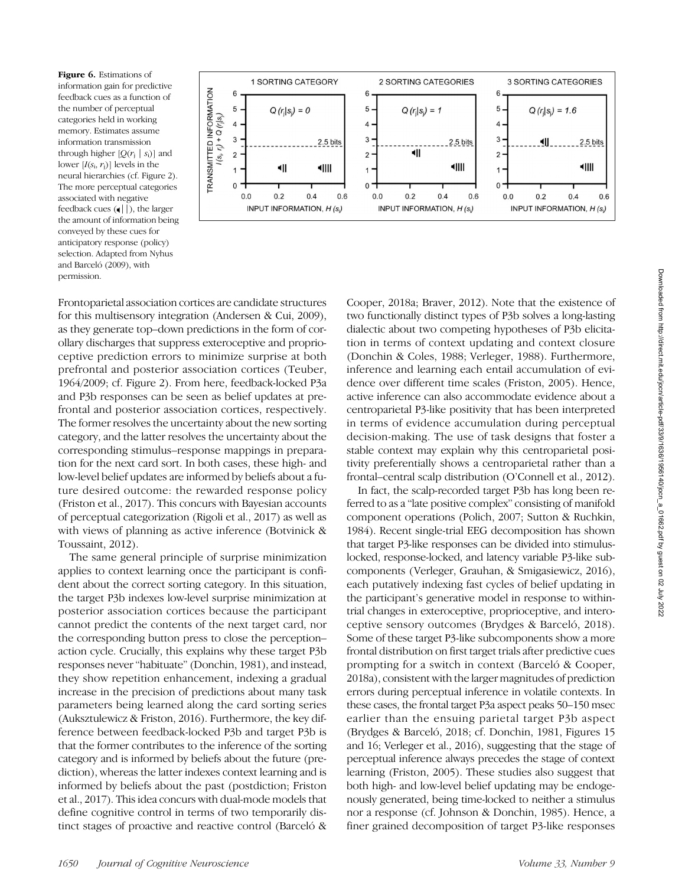Figure 6. Estimations of information gain for predictive feedback cues as a function of the number of perceptual categories held in working memory. Estimates assume information transmission through higher  $[Q(r_i | s_i)]$  and lower  $[I(s_i, r_j)]$  levels in the neural hierarchies (cf. Figure 2). The more perceptual categories associated with negative feedback cues (•||), the larger the amount of information being conveyed by these cues for anticipatory response (policy) selection. Adapted from Nyhus and Barceló (2009), with permission.



Frontoparietal association cortices are candidate structures for this multisensory integration (Andersen & Cui, 2009), as they generate top–down predictions in the form of corollary discharges that suppress exteroceptive and proprioceptive prediction errors to minimize surprise at both prefrontal and posterior association cortices (Teuber, 1964/2009; cf. Figure 2). From here, feedback-locked P3a and P3b responses can be seen as belief updates at prefrontal and posterior association cortices, respectively. The former resolves the uncertainty about the new sorting category, and the latter resolves the uncertainty about the corresponding stimulus–response mappings in preparation for the next card sort. In both cases, these high- and low-level belief updates are informed by beliefs about a future desired outcome: the rewarded response policy (Friston et al., 2017). This concurs with Bayesian accounts of perceptual categorization (Rigoli et al., 2017) as well as with views of planning as active inference (Botvinick & Toussaint, 2012).

The same general principle of surprise minimization applies to context learning once the participant is confident about the correct sorting category. In this situation, the target P3b indexes low-level surprise minimization at posterior association cortices because the participant cannot predict the contents of the next target card, nor the corresponding button press to close the perception– action cycle. Crucially, this explains why these target P3b responses never "habituate" (Donchin, 1981), and instead, they show repetition enhancement, indexing a gradual increase in the precision of predictions about many task parameters being learned along the card sorting series (Auksztulewicz & Friston, 2016). Furthermore, the key difference between feedback-locked P3b and target P3b is that the former contributes to the inference of the sorting category and is informed by beliefs about the future (prediction), whereas the latter indexes context learning and is informed by beliefs about the past (postdiction; Friston et al., 2017). This idea concurs with dual-mode models that define cognitive control in terms of two temporarily distinct stages of proactive and reactive control (Barceló &

Cooper, 2018a; Braver, 2012). Note that the existence of two functionally distinct types of P3b solves a long-lasting dialectic about two competing hypotheses of P3b elicitation in terms of context updating and context closure (Donchin & Coles, 1988; Verleger, 1988). Furthermore, inference and learning each entail accumulation of evidence over different time scales (Friston, 2005). Hence, active inference can also accommodate evidence about a centroparietal P3-like positivity that has been interpreted in terms of evidence accumulation during perceptual decision-making. The use of task designs that foster a stable context may explain why this centroparietal positivity preferentially shows a centroparietal rather than a frontal–central scalp distribution (O'Connell et al., 2012).

In fact, the scalp-recorded target P3b has long been referred to as a "late positive complex" consisting of manifold component operations (Polich, 2007; Sutton & Ruchkin, 1984). Recent single-trial EEG decomposition has shown that target P3-like responses can be divided into stimuluslocked, response-locked, and latency variable P3-like subcomponents (Verleger, Grauhan, & Smigasiewicz, 2016), each putatively indexing fast cycles of belief updating in the participant's generative model in response to withintrial changes in exteroceptive, proprioceptive, and interoceptive sensory outcomes (Brydges & Barceló, 2018). Some of these target P3-like subcomponents show a more frontal distribution on first target trials after predictive cues prompting for a switch in context (Barceló & Cooper, 2018a), consistent with the larger magnitudes of prediction errors during perceptual inference in volatile contexts. In these cases, the frontal target P3a aspect peaks 50–150 msec earlier than the ensuing parietal target P3b aspect (Brydges & Barceló, 2018; cf. Donchin, 1981, Figures 15 and 16; Verleger et al., 2016), suggesting that the stage of perceptual inference always precedes the stage of context learning (Friston, 2005). These studies also suggest that both high- and low-level belief updating may be endogenously generated, being time-locked to neither a stimulus nor a response (cf. Johnson & Donchin, 1985). Hence, a finer grained decomposition of target P3-like responses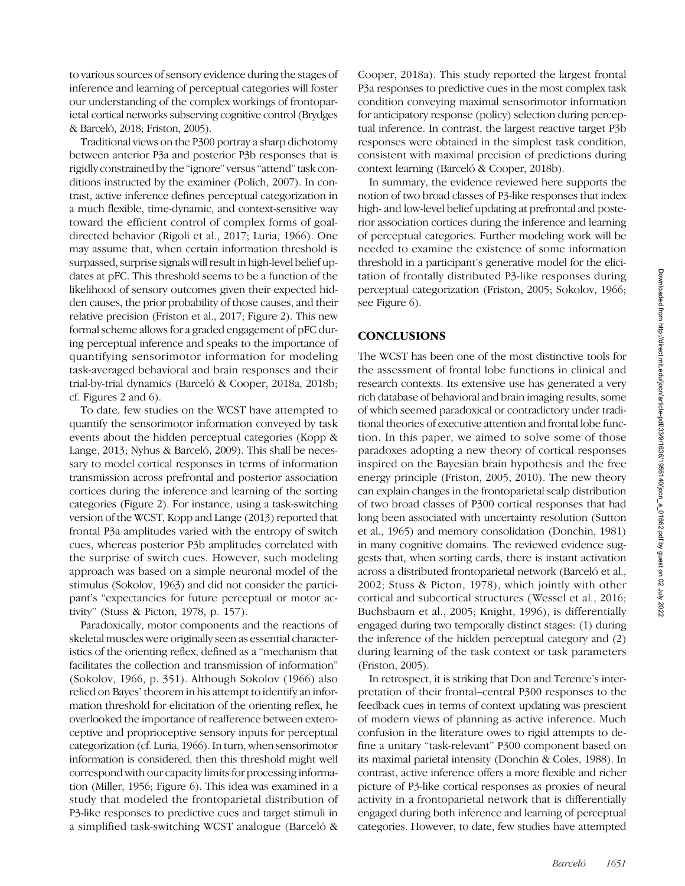to various sources of sensory evidence during the stages of inference and learning of perceptual categories will foster our understanding of the complex workings of frontoparietal cortical networks subserving cognitive control (Brydges & Barceló, 2018; Friston, 2005).

Traditional views on the P300 portray a sharp dichotomy between anterior P3a and posterior P3b responses that is rigidly constrained by the "ignore" versus "attend" task conditions instructed by the examiner (Polich, 2007). In contrast, active inference defines perceptual categorization in a much flexible, time-dynamic, and context-sensitive way toward the efficient control of complex forms of goaldirected behavior (Rigoli et al., 2017; Luria, 1966). One may assume that, when certain information threshold is surpassed, surprise signals will result in high-level belief updates at pFC. This threshold seems to be a function of the likelihood of sensory outcomes given their expected hidden causes, the prior probability of those causes, and their relative precision (Friston et al., 2017; Figure 2). This new formal scheme allows for a graded engagement of pFC during perceptual inference and speaks to the importance of quantifying sensorimotor information for modeling task-averaged behavioral and brain responses and their trial-by-trial dynamics (Barceló & Cooper, 2018a, 2018b; cf. Figures 2 and 6).

To date, few studies on the WCST have attempted to quantify the sensorimotor information conveyed by task events about the hidden perceptual categories (Kopp & Lange, 2013; Nyhus & Barceló, 2009). This shall be necessary to model cortical responses in terms of information transmission across prefrontal and posterior association cortices during the inference and learning of the sorting categories (Figure 2). For instance, using a task-switching version of the WCST, Kopp and Lange (2013) reported that frontal P3a amplitudes varied with the entropy of switch cues, whereas posterior P3b amplitudes correlated with the surprise of switch cues. However, such modeling approach was based on a simple neuronal model of the stimulus (Sokolov, 1963) and did not consider the participant's "expectancies for future perceptual or motor activity" (Stuss & Picton, 1978, p. 157).

Paradoxically, motor components and the reactions of skeletal muscles were originally seen as essential characteristics of the orienting reflex, defined as a "mechanism that facilitates the collection and transmission of information" (Sokolov, 1966, p. 351). Although Sokolov (1966) also relied on Bayes' theorem in his attempt to identify an information threshold for elicitation of the orienting reflex, he overlooked the importance of reafference between exteroceptive and proprioceptive sensory inputs for perceptual categorization (cf. Luria, 1966). In turn, when sensorimotor information is considered, then this threshold might well correspond with our capacity limits for processing information (Miller, 1956; Figure 6). This idea was examined in a study that modeled the frontoparietal distribution of P3-like responses to predictive cues and target stimuli in a simplified task-switching WCST analogue (Barceló &

Cooper, 2018a). This study reported the largest frontal P3a responses to predictive cues in the most complex task condition conveying maximal sensorimotor information for anticipatory response (policy) selection during perceptual inference. In contrast, the largest reactive target P3b responses were obtained in the simplest task condition, consistent with maximal precision of predictions during context learning (Barceló & Cooper, 2018b).

In summary, the evidence reviewed here supports the notion of two broad classes of P3-like responses that index high- and low-level belief updating at prefrontal and posterior association cortices during the inference and learning of perceptual categories. Further modeling work will be needed to examine the existence of some information threshold in a participant's generative model for the elicitation of frontally distributed P3-like responses during perceptual categorization (Friston, 2005; Sokolov, 1966; see Figure 6.

## **CONCLUSIONS**

The WCST has been one of the most distinctive tools for the assessment of frontal lobe functions in clinical and research contexts. Its extensive use has generated a very rich database of behavioral and brain imaging results, some of which seemed paradoxical or contradictory under traditional theories of executive attention and frontal lobe function. In this paper, we aimed to solve some of those paradoxes adopting a new theory of cortical responses inspired on the Bayesian brain hypothesis and the free energy principle (Friston, 2005, 2010). The new theory can explain changes in the frontoparietal scalp distribution of two broad classes of P300 cortical responses that had long been associated with uncertainty resolution (Sutton et al., 1965) and memory consolidation (Donchin, 1981) in many cognitive domains. The reviewed evidence suggests that, when sorting cards, there is instant activation across a distributed frontoparietal network (Barceló et al., 2002; Stuss & Picton, 1978), which jointly with other cortical and subcortical structures (Wessel et al., 2016; Buchsbaum et al., 2005; Knight, 1996), is differentially engaged during two temporally distinct stages: (1) during the inference of the hidden perceptual category and (2) during learning of the task context or task parameters (Friston, 2005).

In retrospect, it is striking that Don and Terence's interpretation of their frontal–central P300 responses to the feedback cues in terms of context updating was prescient of modern views of planning as active inference. Much confusion in the literature owes to rigid attempts to define a unitary "task-relevant" P300 component based on its maximal parietal intensity (Donchin & Coles, 1988). In contrast, active inference offers a more flexible and richer picture of P3-like cortical responses as proxies of neural activity in a frontoparietal network that is differentially engaged during both inference and learning of perceptual categories. However, to date, few studies have attempted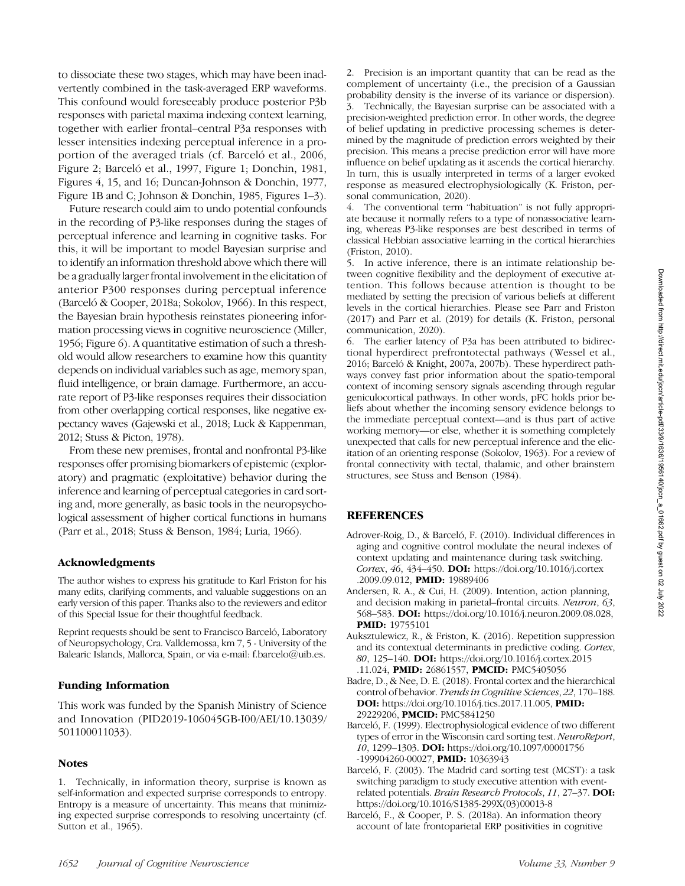to dissociate these two stages, which may have been inadvertently combined in the task-averaged ERP waveforms. This confound would foreseeably produce posterior P3b responses with parietal maxima indexing context learning, together with earlier frontal–central P3a responses with lesser intensities indexing perceptual inference in a proportion of the averaged trials (cf. Barceló et al., 2006, Figure 2; Barceló et al., 1997, Figure 1; Donchin, 1981, Figures 4, 15, and 16; Duncan-Johnson & Donchin, 1977, Figure 1B and C; Johnson & Donchin, 1985, Figures 1–3).

Future research could aim to undo potential confounds in the recording of P3-like responses during the stages of perceptual inference and learning in cognitive tasks. For this, it will be important to model Bayesian surprise and to identify an information threshold above which there will be a gradually larger frontal involvement in the elicitation of anterior P300 responses during perceptual inference (Barceló & Cooper, 2018a; Sokolov, 1966). In this respect, the Bayesian brain hypothesis reinstates pioneering information processing views in cognitive neuroscience (Miller, 1956; Figure 6). A quantitative estimation of such a threshold would allow researchers to examine how this quantity depends on individual variables such as age, memory span, fluid intelligence, or brain damage. Furthermore, an accurate report of P3-like responses requires their dissociation from other overlapping cortical responses, like negative expectancy waves (Gajewski et al., 2018; Luck & Kappenman, 2012; Stuss & Picton, 1978).

From these new premises, frontal and nonfrontal P3-like responses offer promising biomarkers of epistemic (exploratory) and pragmatic (exploitative) behavior during the inference and learning of perceptual categories in card sorting and, more generally, as basic tools in the neuropsychological assessment of higher cortical functions in humans (Parr et al., 2018; Stuss & Benson, 1984; Luria, 1966).

#### Acknowledgments

The author wishes to express his gratitude to Karl Friston for his many edits, clarifying comments, and valuable suggestions on an early version of this paper. Thanks also to the reviewers and editor of this Special Issue for their thoughtful feedback.

Reprint requests should be sent to Francisco Barceló, Laboratory of Neuropsychology, Cra. Valldemossa, km 7, 5 - University of the Balearic Islands, Mallorca, Spain, or via e-mail: f.barcelo@uib.es.

#### Funding Information

This work was funded by the Spanish Ministry of Science and Innovation (PID2019-106045GB-I00/AEI/10.13039/ 501100011033).

#### **Notes**

1. Technically, in information theory, surprise is known as self-information and expected surprise corresponds to entropy. Entropy is a measure of uncertainty. This means that minimizing expected surprise corresponds to resolving uncertainty (cf. Sutton et al., 1965).

2. Precision is an important quantity that can be read as the complement of uncertainty (i.e., the precision of a Gaussian probability density is the inverse of its variance or dispersion). 3. Technically, the Bayesian surprise can be associated with a precision-weighted prediction error. In other words, the degree of belief updating in predictive processing schemes is determined by the magnitude of prediction errors weighted by their precision. This means a precise prediction error will have more influence on belief updating as it ascends the cortical hierarchy. In turn, this is usually interpreted in terms of a larger evoked response as measured electrophysiologically (K. Friston, personal communication, 2020).

4. The conventional term "habituation" is not fully appropriate because it normally refers to a type of nonassociative learning, whereas P3-like responses are best described in terms of classical Hebbian associative learning in the cortical hierarchies (Friston, 2010).

5. In active inference, there is an intimate relationship between cognitive flexibility and the deployment of executive attention. This follows because attention is thought to be mediated by setting the precision of various beliefs at different levels in the cortical hierarchies. Please see Parr and Friston (2017) and Parr et al. (2019) for details (K. Friston, personal communication, 2020).

6. The earlier latency of P3a has been attributed to bidirectional hyperdirect prefrontotectal pathways (Wessel et al., 2016; Barceló & Knight, 2007a, 2007b). These hyperdirect pathways convey fast prior information about the spatio-temporal context of incoming sensory signals ascending through regular geniculocortical pathways. In other words, pFC holds prior beliefs about whether the incoming sensory evidence belongs to the immediate perceptual context—and is thus part of active working memory—or else, whether it is something completely unexpected that calls for new perceptual inference and the elicitation of an orienting response (Sokolov, 1963). For a review of frontal connectivity with tectal, thalamic, and other brainstem structures, see Stuss and Benson (1984).

#### **REFERENCES**

- Adrover-Roig, D., & Barceló, F. (2010). Individual differences in aging and cognitive control modulate the neural indexes of context updating and maintenance during task switching. Cortex, 46, 434–450. DOI: [https://doi.org/10.1016/j.cortex](https://doi.org/10.1016/j.cortex.2009.09.012) [.2009.09.012](https://doi.org/10.1016/j.cortex.2009.09.012), **PMID:** [19889406](https://europepmc.org/article/MED/19889406)
- Andersen, R. A., & Cui, H. (2009). Intention, action planning, and decision making in parietal–frontal circuits. Neuron, 63, 568–583. DOI: <https://doi.org/10.1016/j.neuron.2009.08.028>, PMID: [19755101](https://europepmc.org/article/>MED/19755101)
- Auksztulewicz, R., & Friston, K. (2016). Repetition suppression and its contextual determinants in predictive coding. Cortex, 80, 125–140. DOI: [https://doi.org/10.1016/j.cortex.2015](https://doi.org/10.1016/j.cortex.2015.11.024) [.11.024](https://doi.org/10.1016/j.cortex.2015.11.024), PMID: [26861557,](https://europepmc.org/article/MED/26861557) PMCID: [PMC5405056](https://www.ncbi.nlm.nih.gov/pmc/articles/PMC5405056)
- Badre, D., & Nee, D. E. (2018). Frontal cortex and the hierarchical control of behavior. Trends in Cognitive Sciences, 22, 170–188. DOI: [https://doi.org/10.1016/j.tics.2017.11.005,](https://doi.org/10.1016/j.tics.2017.11.005) PMID: [29229206,](https://europepmc.org/article/MED/29229206) PMCID: [PMC5841250](https://www.ncbi.nlm.nih.gov/pmc/articles/PMC5841250)
- Barceló, F. (1999). Electrophysiological evidence of two different types of error in the Wisconsin card sorting test. NeuroReport, 10, 1299–1303. DOI: [https://doi.org/10.1097/00001756](https://doi.org/10.1097/00001756-199904260-00027) [-199904260-00027](https://doi.org/10.1097/00001756-199904260-00027), PMID: [10363943](https://europepmc.org/article/MED/10363943)
- Barceló, F. (2003). The Madrid card sorting test (MCST): a task switching paradigm to study executive attention with eventrelated potentials. Brain Research Protocols, 11, 27–37. DOI: [https://doi.org/10.1016/S1385-299X\(03\)00013-8](https://doi.org/10.1016/S1385-299X(03)00013-8)
- Barceló, F., & Cooper, P. S. (2018a). An information theory account of late frontoparietal ERP positivities in cognitive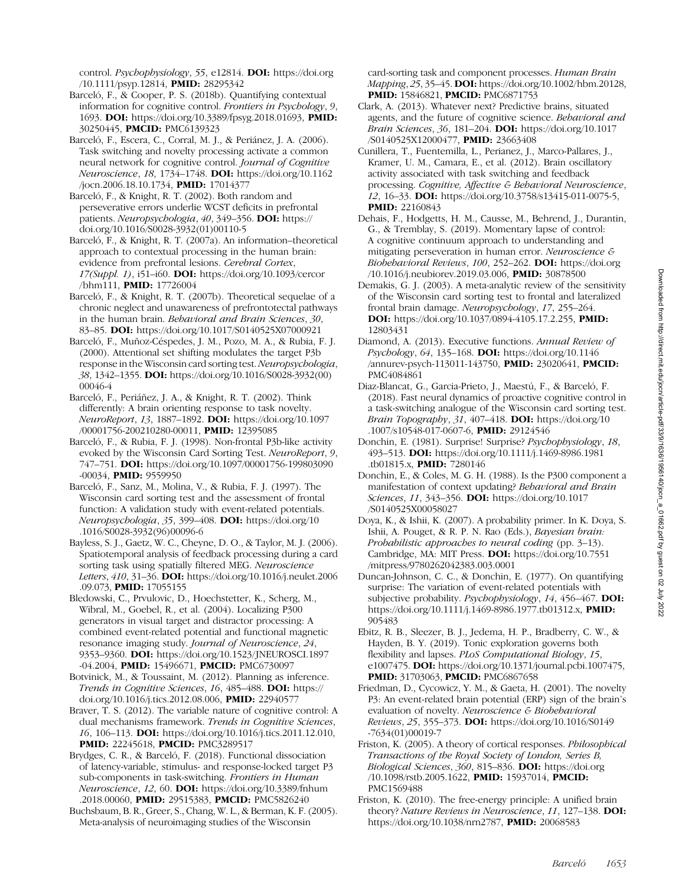control. Psychophysiology, 55, e12814. DOI: [https://doi.org](https://doi.org/10.1111/psyp.12814) [/10.1111/psyp.12814,](https://doi.org/10.1111/psyp.12814) PMID: [28295342](https://europepmc.org/article/MED/28295342)

Barceló, F., & Cooper, P. S. (2018b). Quantifying contextual information for cognitive control. Frontiers in Psychology, 9, 1693. DOI: <https://doi.org/10.3389/fpsyg.2018.01693>, PMID: [30250445,](https://europepmc.org/article/MED/30250445) PMCID: [PMC6139323](https://www.ncbi.nlm.nih.gov/pmc/articles/PMC6139323)

Barceló, F., Escera, C., Corral, M. J., & Periánez, J. A. (2006). Task switching and novelty processing activate a common neural network for cognitive control. Journal of Cognitive Neuroscience, 18, 1734–1748. DOI: [https://doi.org/10.1162](https://doi.org/10.1162/jocn.2006.18.10.1734) [/jocn.2006.18.10.1734,](https://doi.org/10.1162/jocn.2006.18.10.1734) PMID: [17014377](https://europepmc.org/article/MED/17014377)

Barceló, F., & Knight, R. T. (2002). Both random and perseverative errors underlie WCST deficits in prefrontal patients. Neuropsychologia, 40, 349–356. DOI: [https://](https://doi.org/10.1016/S0028-3932(01)00110-5) [doi.org/10.1016/S0028-3932\(01\)00110-5](https://doi.org/10.1016/S0028-3932(01)00110-5)

Barceló, F., & Knight, R. T. (2007a). An information–theoretical approach to contextual processing in the human brain: evidence from prefrontal lesions. Cerebral Cortex, 17(Suppl. 1), i51–i60. DOI: [https://doi.org/10.1093/cercor](https://doi.org/10.1093/cercor/bhm111) [/bhm111](https://doi.org/10.1093/cercor/bhm111), PMID: [17726004](https://europepmc.org/article/MED/17726004)

Barceló, F., & Knight, R. T. (2007b). Theoretical sequelae of a chronic neglect and unawareness of prefrontotectal pathways in the human brain. Behavioral and Brain Sciences, 30, 83–85. DOI: <https://doi.org/10.1017/S0140525X07000921>

Barceló, F., Muñoz-Céspedes, J. M., Pozo, M. A., & Rubia, F. J. (2000). Attentional set shifting modulates the target P3b response in the Wisconsin card sorting test. Neuropsychologia, 38, 1342–1355. DOI: [https://doi.org/10.1016/S0028-3932\(00\)](https://doi.org/10.1016/S0028-3932(00)00046-4) [00046-4](https://doi.org/10.1016/S0028-3932(00)00046-4)

Barceló, F., Periáñez, J. A., & Knight, R. T. (2002). Think differently: A brain orienting response to task novelty. NeuroReport, 13, 1887–1892. DOI: [https://doi.org/10.1097](https://doi.org/10.1097/00001756-200210280-00011) [/00001756-200210280-00011](https://doi.org/10.1097/00001756-200210280-00011), PMID: [12395085](https://europepmc.org/article/MED/12395085)

Barceló, F., & Rubia, F. J. (1998). Non-frontal P3b-like activity evoked by the Wisconsin Card Sorting Test. NeuroReport, 9, 747–751. DOI: [https://doi.org/10.1097/00001756-199803090](https://doi.org/10.1097/00001756-199803090-00034) [-00034,](https://doi.org/10.1097/00001756-199803090-00034) PMID: [9559950](https://europepmc.org/article/MED/9559950)

Barceló, F., Sanz, M., Molina, V., & Rubia, F. J. (1997). The Wisconsin card sorting test and the assessment of frontal function: A validation study with event-related potentials. Neuropsychologia, 35, 399–408. DOI: [https://doi.org/10](https://doi.org/10.1016/S0028-3932(96)00096-6) [.1016/S0028-3932\(96\)00096-6](https://doi.org/10.1016/S0028-3932(96)00096-6)

Bayless, S. J., Gaetz, W. C., Cheyne, D. O., & Taylor, M. J. (2006). Spatiotemporal analysis of feedback processing during a card sorting task using spatially filtered MEG. Neuroscience Letters, 410, 31–36. DOI: [https://doi.org/10.1016/j.neulet.2006](https://doi.org/10.1016/j.neulet.2006.09.073) [.09.073,](https://doi.org/10.1016/j.neulet.2006.09.073) PMID: [17055155](https://europepmc.org/article/MED/17055155)

Bledowski, C., Prvulovic, D., Hoechstetter, K., Scherg, M., Wibral, M., Goebel, R., et al. (2004). Localizing P300 generators in visual target and distractor processing: A combined event-related potential and functional magnetic resonance imaging study. Journal of Neuroscience, 24, 9353-9360. **DOI:** https://doi.org/10.1523/JNEUROSCI.1897 [-04.2004,](https://doi.org/10.1523/JNEUROSCI.1897-04.2004) PMID: [15496671](https://europepmc.org/article/MED/15496671), PMCID: [PMC6730097](https://www.ncbi.nlm.nih.gov/pmc/articles/PMC6730097)

Botvinick, M., & Toussaint, M. (2012). Planning as inference. Trends in Cognitive Sciences, 16, 485–488. DOI: [https://](https://doi.org/10.1016/j.tics.2012.08.006) [doi.org/10.1016/j.tics.2012.08.006,](https://doi.org/10.1016/j.tics.2012.08.006) PMID: [22940577](https://europepmc.org/article/MED/22940577)

Braver, T. S. (2012). The variable nature of cognitive control: A dual mechanisms framework. Trends in Cognitive Sciences, 16, 106–113. DOI: [https://doi.org/10.1016/j.tics.2011.12.010,](https://doi.org/10.1016/j.tics.2011.12.010) PMID: [22245618](https://europepmc.org/article/MED/22245618), PMCID: [PMC3289517](https://www.ncbi.nlm.nih.gov/pmc/articles/PMC3289517)

Brydges, C. R., & Barceló, F. (2018). Functional dissociation of latency-variable, stimulus- and response-locked target P3 sub-components in task-switching. Frontiers in Human Neuroscience, 12, 60. DOI: [https://doi.org/10.3389/fnhum](https://doi.org/10.3389/fnhum.2018.00060) [.2018.00060,](https://doi.org/10.3389/fnhum.2018.00060) PMID: [29515383,](https://europepmc.org/article/MED/29515383) PMCID: [PMC5826240](https://www.ncbi.nlm.nih.gov/pmc/articles/PMC5826240)

Buchsbaum, B. R., Greer, S., Chang, W. L., & Berman, K. F. (2005). Meta-analysis of neuroimaging studies of the Wisconsin

card-sorting task and component processes. Human Brain Mapping, 25, 35–45. DOI: [https://doi.org/10.1002/hbm.20128,](https://doi.org/10.1002/hbm.20128) PMID: [15846821](https://europepmc.org/article/MED/15846821), PMCID: [PMC6871753](https://www.ncbi.nlm.nih.gov/pmc/articles/PMC6871753)

- Clark, A. (2013). Whatever next? Predictive brains, situated agents, and the future of cognitive science. Behavioral and Brain Sciences, 36, 181-204. DOI: [https://doi.org/10.1017](https://doi.org/10.1017/S0140525X12000477) [/S0140525X12000477,](https://doi.org/10.1017/S0140525X12000477) PMID: [23663408](https://europepmc.org/article/MED/23663408)
- Cunillera, T., Fuentemilla, L., Perianez, J., Marco-Pallares, J., Kramer, U. M., Camara, E., et al. (2012). Brain oscillatory activity associated with task switching and feedback processing. Cognitive, Affective & Behavioral Neuroscience, 12, 16–33. DOI: [https://doi.org/10.3758/s13415-011-0075-5,](https://doi.org/10.3758/s13415-011-0075-5) **PMID:** [22160843](https://europepmc.org/article/MED/22160843)
- Dehais, F., Hodgetts, H. M., Causse, M., Behrend, J., Durantin, G., & Tremblay, S. (2019). Momentary lapse of control: A cognitive continuum approach to understanding and mitigating perseveration in human error. Neuroscience & Biobehavioral Reviews, 100, 252-262. DOI: [https://doi.org](https://doi.org/10.1016/j.neubiorev.2019.03.006) [/10.1016/j.neubiorev.2019.03.006](https://doi.org/10.1016/j.neubiorev.2019.03.006), PMID: [30878500](https://europepmc.org/article/MED/30878500)
- Demakis, G. J. (2003). A meta-analytic review of the sensitivity of the Wisconsin card sorting test to frontal and lateralized frontal brain damage. Neuropsychology, 17, 255–264. DOI: <https://doi.org/10.1037/0894-4105.17.2.255>, PMID: [12803431](https://europepmc.org/article/MED/12803431)
- Diamond, A. (2013). Executive functions. Annual Review of Psychology, 64, 135–168. DOI: [https://doi.org/10.1146](https://doi.org/10.1146/annurev-psych-113011-143750) [/annurev-psych-113011-143750](https://doi.org/10.1146/annurev-psych-113011-143750), PMID: [23020641,](https://europepmc.org/article/MED/23020641) PMCID: [PMC4084861](https://www.ncbi.nlm.nih.gov/pmc/articles/PMC4084861)
- Diaz-Blancat, G., Garcia-Prieto, J., Maestú, F., & Barceló, F. (2018). Fast neural dynamics of proactive cognitive control in a task-switching analogue of the Wisconsin card sorting test. Brain Topography, 31, 407-418. DOI: [https://doi.org/10](https://doi.org/10.1007/s10548-017-0607-6) [.1007/s10548-017-0607-6](https://doi.org/10.1007/s10548-017-0607-6), PMID: [29124546](https://europepmc.org/article/MED/29124546)
- Donchin, E. (1981). Surprise! Surprise? Psychophysiology, 18, 493–513. DOI: [https://doi.org/10.1111/j.1469-8986.1981](https://doi.org/10.1111/j.1469-8986.1981.tb01815.x) [.tb01815.x,](https://doi.org/10.1111/j.1469-8986.1981.tb01815.x) PMID: [7280146](https://europepmc.org/article/MED/7280146)

Donchin, E., & Coles, M. G. H. (1988). Is the P300 component a manifestation of context updating? Behavioral and Brain Sciences, 11, 343-356. **DOI:** [https://doi.org/10.1017](https://doi.org/10.1017/S0140525X00058027) [/S0140525X00058027](https://doi.org/10.1017/S0140525X00058027)

- Doya, K., & Ishii, K. (2007). A probability primer. In K. Doya, S. Ishii, A. Pouget, & R. P. N. Rao (Eds.), Bayesian brain: Probabilistic approaches to neural coding (pp. 3–13). Cambridge, MA: MIT Press. DOI: [https://doi.org/10.7551](https://doi.org/10.7551/mitpress/9780262042383.003.0001) [/mitpress/9780262042383.003.0001](https://doi.org/10.7551/mitpress/9780262042383.003.0001)
- Duncan-Johnson, C. C., & Donchin, E. (1977). On quantifying surprise: The variation of event-related potentials with subjective probability. *Psychophysiology*, 14, 456–467. **DOI:** [https://doi.org/10.1111/j.1469-8986.1977.tb01312.x,](https://doi.org/10.1111/j.1469-8986.1977.tb01312.x) **PMID:** [905483](https://europepmc.org/article/MED/905483)
- Ebitz, R. B., Sleezer, B. J., Jedema, H. P., Bradberry, C. W., & Hayden, B. Y. (2019). Tonic exploration governs both flexibility and lapses. PLoS Computational Biology, 15, e1007475. DOI: <https://doi.org/10.1371/journal.pcbi.1007475>, PMID: [31703063](https://europepmc.org/article/MED/31703063), PMCID: [PMC6867658](https://www.ncbi.nlm.nih.gov/pmc/articles/PMC6867658)
- Friedman, D., Cycowicz, Y. M., & Gaeta, H. (2001). The novelty P3: An event-related brain potential (ERP) sign of the brain's evaluation of novelty. Neuroscience & Biobehavioral Reviews, 25, 355–373. DOI: [https://doi.org/10.1016/S0149](https://doi.org/10.1016/S0149-7634(01)00019-7) [-7634\(01\)00019-7](https://doi.org/10.1016/S0149-7634(01)00019-7)
- Friston, K. (2005). A theory of cortical responses. Philosophical Transactions of the Royal Society of London, Series B, Biological Sciences, 360, 815–836. DOI: [https://doi.org](https://doi.org/10.1098/rstb.2005.1622) [/10.1098/rstb.2005.1622](https://doi.org/10.1098/rstb.2005.1622), PMID: [15937014,](https://europepmc.org/article/MED/15937014) PMCID: [PMC1569488](https://www.ncbi.nlm.nih.gov/pmc/articles/PMC1569488)
- Friston, K. (2010). The free-energy principle: A unified brain theory? Nature Reviews in Neuroscience, 11, 127-138. DOI: [https://doi.org/10.1038/nrn2787,](https://doi.org/10.1038/nrn2787) PMID: [20068583](https://europepmc.org/article/MED/20068583)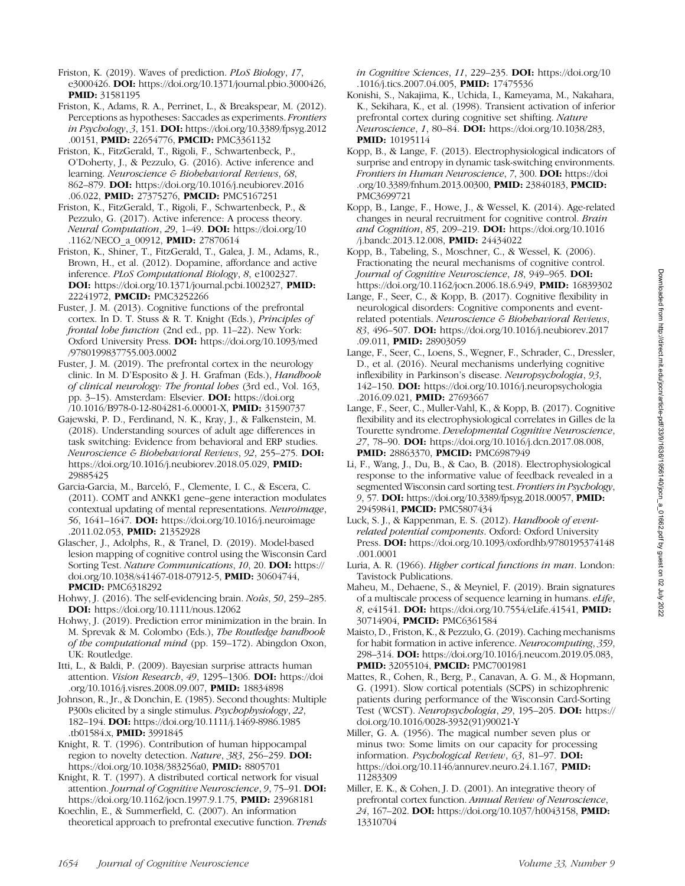Friston, K. (2019). Waves of prediction. PLoS Biology, 17,

e3000426. DOI: <https://doi.org/10.1371/journal.pbio.3000426>, PMID: [31581195](https://europepmc.org/article/MED/31581195)

Friston, K., Adams, R. A., Perrinet, L., & Breakspear, M. (2012). Perceptions as hypotheses: Saccades as experiments. Frontiers in Psychology, 3, 151. DOI: [https://doi.org/10.3389/fpsyg.2012](https://doi.org/10.3389/fpsyg.2012.00151) [.00151](https://doi.org/10.3389/fpsyg.2012.00151), PMID: [22654776](https://europepmc.org/article/MED/22654776), PMCID: [PMC3361132](https://www.ncbi.nlm.nih.gov/pmc/articles/PMC3361132)

Friston, K., FitzGerald, T., Rigoli, F., Schwartenbeck, P., O'Doherty, J., & Pezzulo, G. (2016). Active inference and learning. Neuroscience & Biobehavioral Reviews, 68, 862–879. DOI: [https://doi.org/10.1016/j.neubiorev.2016](https://doi.org/10.1016/j.neubiorev.2016.06.022) [.06.022](https://doi.org/10.1016/j.neubiorev.2016.06.022), PMID: [27375276,](https://europepmc.org/article/MED/27375276) PMCID: [PMC5167251](https://www.ncbi.nlm.nih.gov/pmc/articles/PMC5167251)

Friston, K., FitzGerald, T., Rigoli, F., Schwartenbeck, P., & Pezzulo, G. (2017). Active inference: A process theory. Neural Computation, 29, 1–49. DOI: [https://doi.org/10](https://doi.org/10.1162/NECO_a_00912) [.1162/NECO\\_a\\_00912](https://doi.org/10.1162/NECO_a_00912), **PMID:** [27870614](https://europepmc.org/article/MED/27870614)

Friston, K., Shiner, T., FitzGerald, T., Galea, J. M., Adams, R., Brown, H., et al. (2012). Dopamine, affordance and active inference. PLoS Computational Biology, 8, e1002327. DOI: [https://doi.org/10.1371/journal.pcbi.1002327,](https://doi.org/10.1371/journal.pcbi.1002327) PMID: [22241972](https://europepmc.org/article/MED/22241972), PMCID: [PMC3252266](https://www.ncbi.nlm.nih.gov/pmc/articles/PMC3252266)

Fuster, J. M. (2013). Cognitive functions of the prefrontal cortex. In D. T. Stuss & R. T. Knight (Eds.), Principles of frontal lobe function (2nd ed., pp. 11–22). New York: Oxford University Press. DOI: [https://doi.org/10.1093/med](https://doi.org/10.1093/med/9780199837755.003.0002) [/9780199837755.003.0002](https://doi.org/10.1093/med/9780199837755.003.0002)

Fuster, J. M. (2019). The prefrontal cortex in the neurology clinic. In M. D'Esposito & J. H. Grafman (Eds.), Handbook of clinical neurology: The frontal lobes (3rd ed., Vol. 163, pp. 3–15). Amsterdam: Elsevier. DOI: [https://doi.org](https://doi.org/10.1016/B978-0-12-804281-6.00001-X) [/10.1016/B978-0-12-804281-6.00001-X](https://doi.org/10.1016/B978-0-12-804281-6.00001-X), PMID: [31590737](https://europepmc.org/article/MED/31590737)

Gajewski, P. D., Ferdinand, N. K., Kray, J., & Falkenstein, M. (2018). Understanding sources of adult age differences in task switching: Evidence from behavioral and ERP studies. Neuroscience & Biobehavioral Reviews, 92, 255–275. DOI: [https://doi.org/10.1016/j.neubiorev.2018.05.029,](https://doi.org/10.1016/j.neubiorev.2018.05.029) PMID: [29885425](https://europepmc.org/article/MED/29885425)

Garcia-Garcia, M., Barceló, F., Clemente, I. C., & Escera, C. (2011). COMT and ANKK1 gene–gene interaction modulates contextual updating of mental representations. Neuroimage, 56, 1641-1647. **DOI:** [https://doi.org/10.1016/j.neuroimage](https://doi.org/10.1016/j.neuroimage.2011.02.053) [.2011.02.053](https://doi.org/10.1016/j.neuroimage.2011.02.053), PMID: [21352928](https://europepmc.org/article/MED/21352928)

Glascher, J., Adolphs, R., & Tranel, D. (2019). Model-based lesion mapping of cognitive control using the Wisconsin Card Sorting Test. Nature Communications, 10, 20. DOI: [https://](https://doi.org/10.1038/s41467-018-07912-5) [doi.org/10.1038/s41467-018-07912-5](https://doi.org/10.1038/s41467-018-07912-5), PMID: [30604744,](https://europepmc.org/article/MED/30604744) **PMCID: [PMC6318292](https://www.ncbi.nlm.nih.gov/pmc/articles/PMC6318292)** 

Hohwy, J. (2016). The self-evidencing brain. Noûs, 50, 259–285. DOI: <https://doi.org/10.1111/nous.12062>

Hohwy, J. (2019). Prediction error minimization in the brain. In M. Sprevak & M. Colombo (Eds.), The Routledge handbook of the computational mind (pp. 159–172). Abingdon Oxon, UK: Routledge.

Itti, L., & Baldi, P. (2009). Bayesian surprise attracts human attention. Vision Research, 49, 1295–1306. DOI: [https://doi](https://doi.org/10.1016/j.visres.2008.09.007) [.org/10.1016/j.visres.2008.09.007,](https://doi.org/10.1016/j.visres.2008.09.007) PMID: [18834898](https://europepmc.org/article/MED/18834898)

Johnson, R., Jr., & Donchin, E. (1985). Second thoughts: Multiple P300s elicited by a single stimulus. Psychophysiology, 22, 182–194. DOI: [https://doi.org/10.1111/j.1469-8986.1985](https://doi.org/10.1111/j.1469-8986.1985.tb01584.x) [.tb01584.x](https://doi.org/10.1111/j.1469-8986.1985.tb01584.x), PMID: [3991845](https://europepmc.org/article/MED/3991845)

Knight, R. T. (1996). Contribution of human hippocampal region to novelty detection. Nature, 383, 256-259. DOI: <https://doi.org/10.1038/383256a0>, PMID: [8805701](https://europepmc.org/article/MED/8805701)

Knight, R. T. (1997). A distributed cortical network for visual attention. Journal of Cognitive Neuroscience, 9, 75–91. DOI: [https://doi.org/10.1162/jocn.1997.9.1.75,](https://doi.org/10.1162/jocn.1997.9.1.75) PMID: [23968181](https://europepmc.org/article/MED/23968181)

Koechlin, E., & Summerfield, C. (2007). An information theoretical approach to prefrontal executive function. Trends in Cognitive Sciences, 11, 229–235. DOI: [https://doi.org/10](https://doi.org/10.1016/j.tics.2007.04.005) [.1016/j.tics.2007.04.005,](https://doi.org/10.1016/j.tics.2007.04.005) **PMID:** [17475536](https://europepmc.org/article/MED/17475536)

- Konishi, S., Nakajima, K., Uchida, I., Kameyama, M., Nakahara, K., Sekihara, K., et al. (1998). Transient activation of inferior prefrontal cortex during cognitive set shifting. Nature Neuroscience, 1, 80–84. DOI: [https://doi.org/10.1038/283,](https://doi.org/10.1038/283) **PMID:** [10195114](https://europepmc.org/article/MED/10195114)
- Kopp, B., & Lange, F. (2013). Electrophysiological indicators of surprise and entropy in dynamic task-switching environments. Frontiers in Human Neuroscience, 7, 300. DOI: [https://doi](https://doi.org/10.3389/fnhum.2013.00300) [.org/10.3389/fnhum.2013.00300,](https://doi.org/10.3389/fnhum.2013.00300) PMID: [23840183,](https://europepmc.org/article/MED/23840183) PMCID: [PMC3699721](https://www.ncbi.nlm.nih.gov/pmc/articles/PMC3699721)

Kopp, B., Lange, F., Howe, J., & Wessel, K. (2014). Age-related changes in neural recruitment for cognitive control. Brain and Cognition, 85, 209–219. DOI: [https://doi.org/10.1016](https://doi.org/10.1016/j.bandc.2013.12.008) [/j.bandc.2013.12.008,](https://doi.org/10.1016/j.bandc.2013.12.008) PMID: [24434022](https://europepmc.org/article/MED/24434022)

Kopp, B., Tabeling, S., Moschner, C., & Wessel, K. (2006). Fractionating the neural mechanisms of cognitive control. Journal of Cognitive Neuroscience, 18, 949-965. DOI: [https://doi.org/10.1162/jocn.2006.18.6.949,](https://doi.org/10.1162/jocn.2006.18.6.949) PMID: [16839302](https://europepmc.org/article/MED/16839302)

- Lange, F., Seer, C., & Kopp, B. (2017). Cognitive flexibility in neurological disorders: Cognitive components and eventrelated potentials. Neuroscience & Biobehavioral Reviews, 83, 496–507. DOI: [https://doi.org/10.1016/j.neubiorev.2017](https://doi.org/10.1016/j.neubiorev.2017.09.011) [.09.011](https://doi.org/10.1016/j.neubiorev.2017.09.011), **PMID**: [28903059](https://europepmc.org/article/MED/28903059)
- Lange, F., Seer, C., Loens, S., Wegner, F., Schrader, C., Dressler, D., et al. (2016). Neural mechanisms underlying cognitive inflexibility in Parkinson's disease. Neuropsychologia, 93, 142–150. DOI: [https://doi.org/10.1016/j.neuropsychologia](https://doi.org/10.1016/j.neuropsychologia.2016.09.021) [.2016.09.021](https://doi.org/10.1016/j.neuropsychologia.2016.09.021), PMID: [27693667](https://europepmc.org/article/MED/27693667)
- Lange, F., Seer, C., Muller-Vahl, K., & Kopp, B. (2017). Cognitive flexibility and its electrophysiological correlates in Gilles de la Tourette syndrome. Developmental Cognitive Neuroscience, 27, 78–90. DOI: [https://doi.org/10.1016/j.dcn.2017.08.008,](https://doi.org/10.1016/j.dcn.2017.08.008) PMID: [28863370](https://europepmc.org/article/MED/28863370), PMCID: [PMC6987949](https://www.ncbi.nlm.nih.gov/pmc/articles/PMC6987949)
- Li, F., Wang, J., Du, B., & Cao, B. (2018). Electrophysiological response to the informative value of feedback revealed in a segmented Wisconsin card sorting test. Frontiers in Psychology, 9, 57. DOI: [https://doi.org/10.3389/fpsyg.2018.00057,](https://doi.org/10.3389/fpsyg.2018.00057) PMID: [29459841,](https://europepmc.org/article/MED/29459841) PMCID: [PMC5807434](https://www.ncbi.nlm.nih.gov/pmc/articles/PMC5807434)
- Luck, S. J., & Kappenman, E. S. (2012). Handbook of eventrelated potential components. Oxford: Oxford University Press. DOI: [https://doi.org/10.1093/oxfordhb/9780195374148](https://doi.org/10.1093/oxfordhb/9780195374148.001.0001) [.001.0001](https://doi.org/10.1093/oxfordhb/9780195374148.001.0001)
- Luria, A. R. (1966). Higher cortical functions in man. London: Tavistock Publications.
- Maheu, M., Dehaene, S., & Meyniel, F. (2019). Brain signatures of a multiscale process of sequence learning in humans. eLife, 8, e41541. DOI: [https://doi.org/10.7554/eLife.41541,](https://doi.org/10.7554/eLife.41541) PMID: [30714904](https://europepmc.org/article/MED/30714904), PMCID: [PMC6361584](https://www.ncbi.nlm.nih.gov/pmc/articles/PMC6361584)

Maisto, D., Friston, K., & Pezzulo, G. (2019). Caching mechanisms for habit formation in active inference. Neurocomputing, 359, 298–314. DOI: [https://doi.org/10.1016/j.neucom.2019.05.083,](https://doi.org/10.1016/j.neucom.2019.05.083) PMID: [32055104](https://europepmc.org/article/MED/32055104), PMCID: [PMC7001981](https://www.ncbi.nlm.nih.gov/pmc/articles/PMC7001981)

Mattes, R., Cohen, R., Berg, P., Canavan, A. G. M., & Hopmann, G. (1991). Slow cortical potentials (SCPS) in schizophrenic patients during performance of the Wisconsin Card-Sorting Test (WCST). Neuropsychologia, 29, 195–205. DOI: [https://](https://doi.org/10.1016/0028-3932(91)90021-Y) [doi.org/10.1016/0028-3932\(91\)90021-Y](https://doi.org/10.1016/0028-3932(91)90021-Y)

Miller, G. A. (1956). The magical number seven plus or minus two: Some limits on our capacity for processing information. Psychological Review, 63, 81–97. DOI: <https://doi.org/10.1146/annurev.neuro.24.1.167>, PMID: [11283309](https://europepmc.org/article/MED/11283309)

Miller, E. K., & Cohen, J. D. (2001). An integrative theory of prefrontal cortex function. Annual Review of Neuroscience, 24, 167–202. DOI: [https://doi.org/10.1037/h0043158,](https://doi.org/10.1037/h0043158) PMID: [13310704](https://europepmc.org/article/MED/13310704)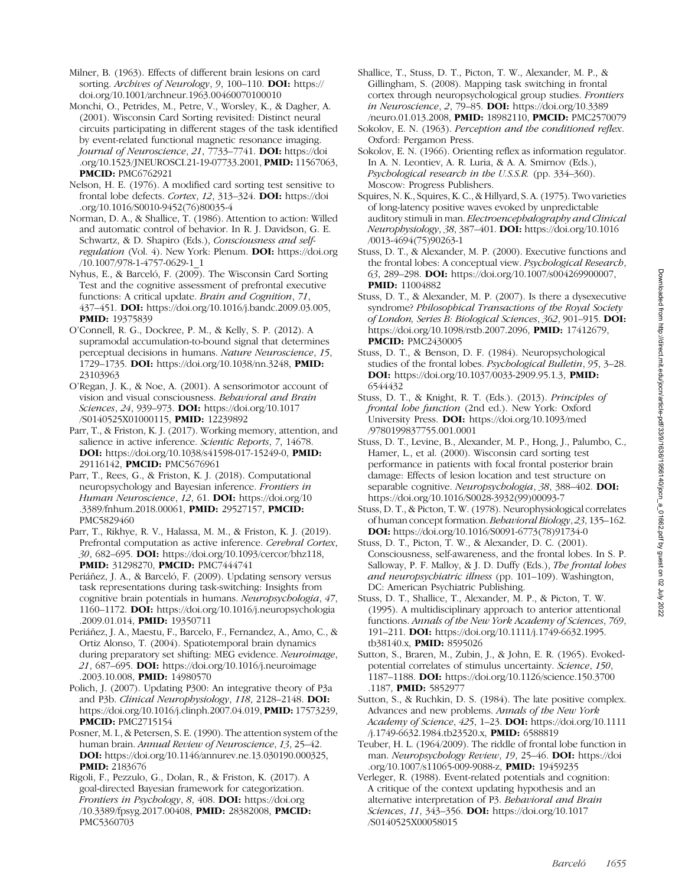Milner, B. (1963). Effects of different brain lesions on card sorting. Archives of Neurology, 9, 100-110. DOI: [https://](https://doi.org/10.1001/archneur.1963.00460070100010) [doi.org/10.1001/archneur.1963.00460070100010](https://doi.org/10.1001/archneur.1963.00460070100010)

Monchi, O., Petrides, M., Petre, V., Worsley, K., & Dagher, A. (2001). Wisconsin Card Sorting revisited: Distinct neural circuits participating in different stages of the task identified by event-related functional magnetic resonance imaging. Journal of Neuroscience, 21, 7733–7741. DOI: [https://doi](https://doi.org/10.1523/JNEUROSCI.21-19-07733.2001) [.org/10.1523/JNEUROSCI.21-19-07733.2001,](https://doi.org/10.1523/JNEUROSCI.21-19-07733.2001) PMID: [11567063,](https://europepmc.org/article/MED/11567063) PMCID: [PMC6762921](https://www.ncbi.nlm.nih.gov/pmc/articles/PMC6762921)

Nelson, H. E. (1976). A modified card sorting test sensitive to frontal lobe defects. Cortex, 12, 313-324. DOI: [https://doi](https://doi.org/10.1016/S0010-9452(76)80035-4) [.org/10.1016/S0010-9452\(76\)80035-4](https://doi.org/10.1016/S0010-9452(76)80035-4)

Norman, D. A., & Shallice, T. (1986). Attention to action: Willed and automatic control of behavior. In R. J. Davidson, G. E. Schwartz, & D. Shapiro (Eds.), Consciousness and selfregulation (Vol. 4). New York: Plenum. DOI: [https://doi.org](https://doi.org/10.1007/978-1-4757-0629-1_1) [/10.1007/978-1-4757-0629-1\\_1](https://doi.org/10.1007/978-1-4757-0629-1_1)

Nyhus, E., & Barceló, F. (2009). The Wisconsin Card Sorting Test and the cognitive assessment of prefrontal executive functions: A critical update. Brain and Cognition, 71, 437–451. DOI: [https://doi.org/10.1016/j.bandc.2009.03.005](https://europepmc.org/article/MED/3006329), PMID: [19375839](https://doi.org/10.1016/j.bandc.2009.03.005)

O'Connell, R. G., Dockree, P. M., & Kelly, S. P. (2012). A supramodal accumulation-to-bound signal that determines perceptual decisions in humans. Nature Neuroscience, 15, 1729–1735. DOI: [https://doi.org/10.1038/nn.3248](https://europepmc.org/article/MED/19375839), PMID: [23103963](https://doi.org/10.1038/nn.3248)

O'Regan, J. K., & Noe, A. (2001). A sensorimotor account of vision and visual consciousness. Behavioral and Brain Sciences, 24, 939-973. DOI: [https://doi.org/10.1017](https://europepmc.org/article/MED/23103963) [/S0140525X01000115,](https://europepmc.org/article/MED/23103963) PMID: [12239892](https://doi.org/10.1017/S0140525X01000115)

Parr, T., & Friston, K. J. (2017). Working memory, attention, and salience in active inference. Scientic Reports, 7, 14678. DOI: [https://doi.org/10.1038/s41598-017-15249-0,](https://europepmc.org/article/MED/12239892) PMID: [29116142,](https://doi.org/10.1038/s41598-017-15249-0) PMCID: [PMC5676961](https://europepmc.org/article/MED/29116142)

Parr, T., Rees, G., & Friston, K. J. (2018). Computational neuropsychology and Bayesian inference. Frontiers in Human Neuroscience, 12, 61. DOI: [https://doi.org/10](https://www.ncbi.nlm.nih.gov/pmc/articles/PMC5676961) [.3389/fnhum.2018.00061,](https://www.ncbi.nlm.nih.gov/pmc/articles/PMC5676961) PMID: [29527157](https://doi.org/10.3389/fnhum.2018.00061), PMCID: [PMC5829460](https://europepmc.org/article/MED/29527157)

Parr, T., Rikhye, R. V., Halassa, M. M., & Friston, K. J. (2019). Prefrontal computation as active inference. Cerebral Cortex, 30, 682–695. DOI: [https://doi.org/10.1093/cercor/bhz118,](https://www.ncbi.nlm.nih.gov/pmc/articles/PMC5829460) PMID: [31298270](https://doi.org/10.1093/cercor/bhz118), PMCID: [PMC7444741](https://europepmc.org/article/MED/31298270)

Periáñez, J. A., & Barceló, F. (2009). Updating sensory versus task representations during task-switching: Insights from cognitive brain potentials in humans. Neuropsychologia, 47, 1160–1172. DOI: [https://doi.org/10.1016/j.neuropsychologia](https://www.ncbi.nlm.nih.gov/pmc/articles/PMC7444741) [.2009.01.014](https://www.ncbi.nlm.nih.gov/pmc/articles/PMC7444741), PMID: [19350711](https://doi.org/10.1016/j.neuropsychologia.2009.01.014)

Periáñez, J. A., Maestu, F., Barcelo, F., Fernandez, A., Amo, C., & Ortiz Alonso, T. (2004). Spatiotemporal brain dynamics during preparatory set shifting: MEG evidence. Neuroimage, 21, 687–695. DOI: [https://doi.org/10.1016/j.neuroimage](https://europepmc.org/article/MED/19350711) [.2003.10.008](https://europepmc.org/article/MED/19350711), PMID: [14980570](https://doi.org/10.1016/j.neuroimage.2003.10.008)

Polich, J. (2007). Updating P300: An integrative theory of P3a and P3b. Clinical Neurophysiology, 118, 2128–2148. DOI: [https://doi.org/10.1016/j.clinph.2007.04.019](https://europepmc.org/article/MED/14980570), **PMID:** [17573239,](https://doi.org/10.1016/j.clinph.2007.04.019) PMCID: [PMC2715154](https://europepmc.org/article/MED/17573239)

Posner, M. I., & Petersen, S. E. (1990). The attention system of the human brain. Annual Review of Neuroscience, 13, 25–42. DOI: [https://doi.org/10.1146/annurev.ne.13.030190.000325](https://www.ncbi.nlm.nih.gov/pmc/articles/PMC2715154), PMID: [2183676](https://doi.org/10.1146/annurev.ne.13.030190.000325)

Rigoli, F., Pezzulo, G., Dolan, R., & Friston, K. (2017). A goal-directed Bayesian framework for categorization. Frontiers in Psychology, 8, 408. DOI: [https://doi.org](https://europepmc.org/article/MED/2183676) [/10.3389/fpsyg.2017.00408,](https://europepmc.org/article/MED/2183676) PMID: [28382008](https://doi.org/10.3389/fpsyg.2017.00408), PMCID: [PMC5360703](https://europepmc.org/article/MED/28382008)

- Shallice, T., Stuss, D. T., Picton, T. W., Alexander, M. P., & Gillingham, S. (2008). Mapping task switching in frontal cortex through neuropsychological group studies. Frontiers in Neuroscience, 2, 79-85. **DOI:** [https://doi.org/10.3389](https://www.ncbi.nlm.nih.gov/pmc/articles/PMC5360703) [/neuro.01.013.2008](https://www.ncbi.nlm.nih.gov/pmc/articles/PMC5360703), PMID: [18982110](https://doi.org/10.3389/neuro.01.013.2008), PMCID: [PMC2570079](https://europepmc.org/article/MED/18982110)
- Sokolov, E. N. (1963). Perception and the conditioned reflex. Oxford: Pergamon Press.
- Sokolov, E. N. (1966). Orienting reflex as information regulator. In A. N. Leontiev, A. R. Luria, & A. A. Smirnov (Eds.), Psychological research in the U.S.S.R. (pp. 334–360). Moscow: Progress Publishers.

Squires, N. K., Squires, K. C., & Hillyard, S. A. (1975). Two varieties of long-latency positive waves evoked by unpredictable auditory stimuli in man. Electroencephalography and Clinical Neurophysiology, 38, 387–401. DOI: [https://doi.org/10.1016](https://www.ncbi.nlm.nih.gov/pmc/articles/PMC2570079) [/0013-4694\(75\)90263-1](https://www.ncbi.nlm.nih.gov/pmc/articles/PMC2570079)

Stuss, D. T., & Alexander, M. P. (2000). Executive functions and the frontal lobes: A conceptual view. Psychological Research, 63, 289–298. DOI: [https://doi.org/10.1007/s004269900007,](https://doi.org/10.1016/0013-4694(75)90263-1) PMID: [11004882](https://doi.org/10.1007/s004269900007)

Stuss, D. T., & Alexander, M. P. (2007). Is there a dysexecutive syndrome? Philosophical Transactions of the Royal Society of London, Series B: Biological Sciences, 362, 901–915. DOI: [https://doi.org/10.1098/rstb.2007.2096,](https://europepmc.org/article/MED/11004882) PMID: [17412679](https://doi.org/10.1098/rstb.2007.2096), **PMCID: [PMC2430005](https://europepmc.org/article/MED/17412679)** 

Stuss, D. T., & Benson, D. F. (1984). Neuropsychological studies of the frontal lobes. Psychological Bulletin, 95, 3–28. DOI: [https://doi.org/10.1037/0033-2909.95.1.3,](https://www.ncbi.nlm.nih.gov/pmc/articles/PMC2430005) PMID: [6544432](https://doi.org/10.1037/0033-2909.95.1.3)

Stuss, D. T., & Knight, R. T. (Eds.). (2013). Principles of frontal lobe function (2nd ed.). New York: Oxford University Press. DOI: [https://doi.org/10.1093/med](https://europepmc.org/article/MED/6544432) [/9780199837755.001.0001](https://europepmc.org/article/MED/6544432)

Stuss, D. T., Levine, B., Alexander, M. P., Hong, J., Palumbo, C., Hamer, L., et al. (2000). Wisconsin card sorting test performance in patients with focal frontal posterior brain damage: Effects of lesion location and test structure on separable cognitive. Neuropsychologia, 38, 388-402. DOI: [https://doi.org/10.1016/S0028-3932\(99\)00093-7](https://doi.org/10.1093/med/9780199837755.001.0001)

Stuss, D. T., & Picton, T. W. (1978). Neurophysiological correlates of human concept formation. Behavioral Biology, 23, 135–162. DOI: [https://doi.org/10.1016/S0091-6773\(78\)91734-0](https://doi.org/10.1016/S0028-3932(99)00093-7)

- Stuss, D. T., Picton, T. W., & Alexander, D. C. (2001). Consciousness, self-awareness, and the frontal lobes. In S. P. Salloway, P. F. Malloy, & J. D. Duffy (Eds.), The frontal lobes and neuropsychiatric illness (pp. 101–109). Washington, DC: American Psychiatric Publishing.
- Stuss, D. T., Shallice, T., Alexander, M. P., & Picton, T. W. (1995). A multidisciplinary approach to anterior attentional functions. Annals of the New York Academy of Sciences, 769, 191–211. DOI: [https://doi.org/10.1111/j.1749-6632.1995.](https://doi.org/10.1016/S0091-6773(78)91734-0) [tb38140.x](https://doi.org/10.1016/S0091-6773(78)91734-0), PMID: [8595026](https://doi.org/10.1111/j.1749-6632.1995.tb38140.x)
- Sutton, S., Braren, M., Zubin, J., & John, E. R. (1965). Evokedpotential correlates of stimulus uncertainty. Science, 150, 1187–1188. DOI: [https://doi.org/10.1126/science.150.3700](https://europepmc.org/article/MED/8595026) [.1187](https://europepmc.org/article/MED/8595026), PMID: [5852977](https://doi.org/10.1126/science.150.3700.1187)
- Sutton, S., & Ruchkin, D. S. (1984). The late positive complex. Advances and new problems. Annals of the New York Academy of Science, 425, 1–23. DOI: [https://doi.org/10.1111](https://europepmc.org/article/MED/5852977) [/j.1749-6632.1984.tb23520.x](https://europepmc.org/article/MED/5852977), PMID: [6588819](https://doi.org/10.1111/j.1749-6632.1984.tb23520.x)
- Teuber, H. L. (1964/2009). The riddle of frontal lobe function in man. Neuropsychology Review, 19, 25–46. DOI: [https://doi](https://europepmc.org/article/MED/6588819) [.org/10.1007/s11065-009-9088-z,](https://europepmc.org/article/MED/6588819) PMID: [19459235](https://doi.org/10.1007/s11065-009-9088-z)

Verleger, R. (1988). Event-related potentials and cognition: A critique of the context updating hypothesis and an alternative interpretation of P3. Behavioral and Brain Sciences, 11, 343-356. DOI: [https://doi.org/10.1017](https://europepmc.org/article/MED/19459235) [/S0140525X00058015](https://europepmc.org/article/MED/19459235)